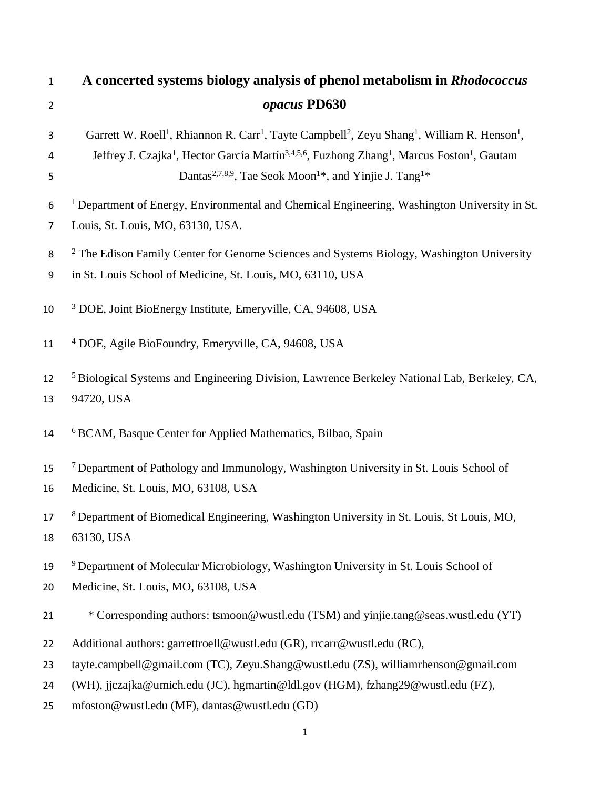| $\mathbf{1}$   | A concerted systems biology analysis of phenol metabolism in Rhodococcus                                                                                                                                                                                                                                                                                                                              |
|----------------|-------------------------------------------------------------------------------------------------------------------------------------------------------------------------------------------------------------------------------------------------------------------------------------------------------------------------------------------------------------------------------------------------------|
| $\overline{2}$ | opacus PD630                                                                                                                                                                                                                                                                                                                                                                                          |
| 3<br>4<br>5    | Garrett W. Roell <sup>1</sup> , Rhiannon R. Carr <sup>1</sup> , Tayte Campbell <sup>2</sup> , Zeyu Shang <sup>1</sup> , William R. Henson <sup>1</sup> ,<br>Jeffrey J. Czajka <sup>1</sup> , Hector García Martín <sup>3,4,5,6</sup> , Fuzhong Zhang <sup>1</sup> , Marcus Foston <sup>1</sup> , Gautam<br>Dantas <sup>2,7,8,9</sup> , Tae Seok Moon <sup>1*</sup> , and Yinjie J. Tang <sup>1*</sup> |
| 6<br>7         | <sup>1</sup> Department of Energy, Environmental and Chemical Engineering, Washington University in St.<br>Louis, St. Louis, MO, 63130, USA.                                                                                                                                                                                                                                                          |
| 8<br>9         | <sup>2</sup> The Edison Family Center for Genome Sciences and Systems Biology, Washington University<br>in St. Louis School of Medicine, St. Louis, MO, 63110, USA                                                                                                                                                                                                                                    |
| 10             | <sup>3</sup> DOE, Joint BioEnergy Institute, Emeryville, CA, 94608, USA                                                                                                                                                                                                                                                                                                                               |
| 11             | <sup>4</sup> DOE, Agile BioFoundry, Emeryville, CA, 94608, USA                                                                                                                                                                                                                                                                                                                                        |
| 12<br>13       | <sup>5</sup> Biological Systems and Engineering Division, Lawrence Berkeley National Lab, Berkeley, CA,<br>94720, USA                                                                                                                                                                                                                                                                                 |
| 14             | <sup>6</sup> BCAM, Basque Center for Applied Mathematics, Bilbao, Spain                                                                                                                                                                                                                                                                                                                               |
| 15<br>16       | <sup>7</sup> Department of Pathology and Immunology, Washington University in St. Louis School of<br>Medicine, St. Louis, MO, 63108, USA                                                                                                                                                                                                                                                              |
| 17<br>18       | <sup>8</sup> Department of Biomedical Engineering, Washington University in St. Louis, St Louis, MO,<br>63130, USA                                                                                                                                                                                                                                                                                    |
| 19<br>20       | <sup>9</sup> Department of Molecular Microbiology, Washington University in St. Louis School of<br>Medicine, St. Louis, MO, 63108, USA                                                                                                                                                                                                                                                                |
| 21             | * Corresponding authors: tsmoon@wustl.edu (TSM) and yinjie.tang@seas.wustl.edu (YT)                                                                                                                                                                                                                                                                                                                   |
| 22             | Additional authors: garrettroell@wustl.edu (GR), rrcarr@wustl.edu (RC),                                                                                                                                                                                                                                                                                                                               |
| 23             | tayte.campbell@gmail.com (TC), Zeyu.Shang@wustl.edu (ZS), williamrhenson@gmail.com                                                                                                                                                                                                                                                                                                                    |
| 24             | (WH), jjczajka@umich.edu (JC), hgmartin@ldl.gov (HGM), fzhang29@wustl.edu (FZ),                                                                                                                                                                                                                                                                                                                       |
| 25             | mfoston@wustl.edu (MF), dantas@wustl.edu (GD)                                                                                                                                                                                                                                                                                                                                                         |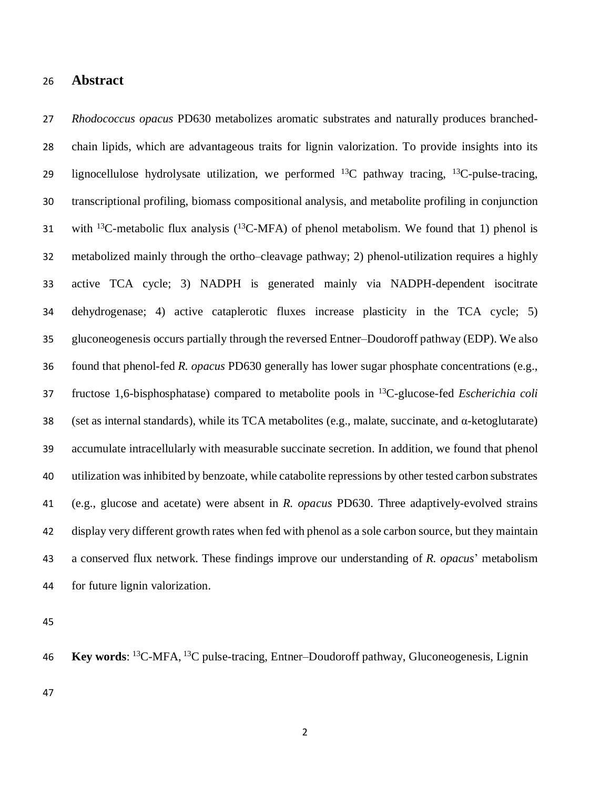#### **Abstract**

 *Rhodococcus opacus* PD630 metabolizes aromatic substrates and naturally produces branched- chain lipids, which are advantageous traits for lignin valorization. To provide insights into its 29 lignocellulose hydrolysate utilization, we performed  $^{13}$ C pathway tracing,  $^{13}$ C-pulse-tracing, transcriptional profiling, biomass compositional analysis, and metabolite profiling in conjunction 31 with <sup>13</sup>C-metabolic flux analysis (<sup>13</sup>C-MFA) of phenol metabolism. We found that 1) phenol is metabolized mainly through the ortho–cleavage pathway; 2) phenol-utilization requires a highly active TCA cycle; 3) NADPH is generated mainly via NADPH-dependent isocitrate dehydrogenase; 4) active cataplerotic fluxes increase plasticity in the TCA cycle; 5) gluconeogenesis occurs partially through the reversed Entner–Doudoroff pathway (EDP). We also found that phenol-fed *R. opacus* PD630 generally has lower sugar phosphate concentrations (e.g., fructose 1,6-bisphosphatase) compared to metabolite pools in <sup>13</sup>C-glucose-fed *Escherichia coli* 38 (set as internal standards), while its TCA metabolites (e.g., malate, succinate, and  $\alpha$ -ketoglutarate) accumulate intracellularly with measurable succinate secretion. In addition, we found that phenol utilization was inhibited by benzoate, while catabolite repressions by other tested carbon substrates (e.g., glucose and acetate) were absent in *R. opacus* PD630. Three adaptively-evolved strains display very different growth rates when fed with phenol as a sole carbon source, but they maintain a conserved flux network. These findings improve our understanding of *R. opacus*' metabolism for future lignin valorization.

46 **Key words:** <sup>13</sup>C-MFA, <sup>13</sup>C pulse-tracing, Entner–Doudoroff pathway, Gluconeogenesis, Lignin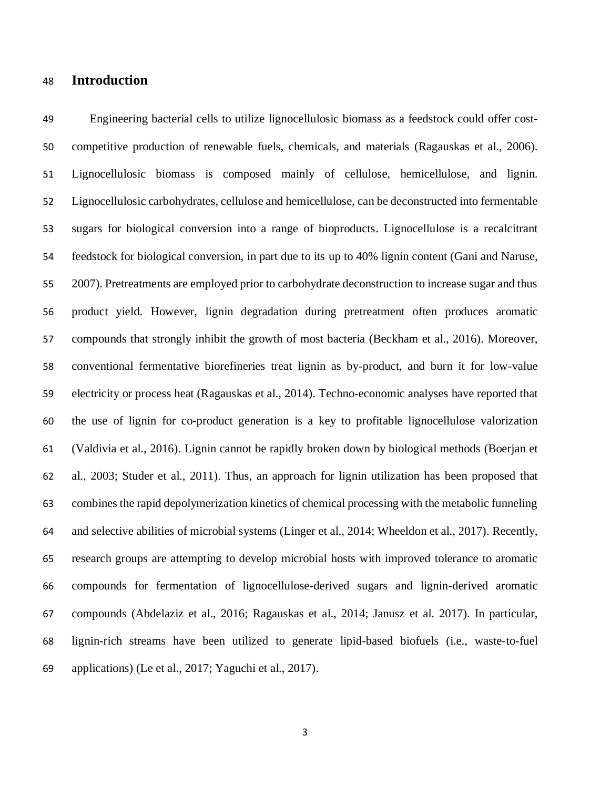### **Introduction**

 Engineering bacterial cells to utilize lignocellulosic biomass as a feedstock could offer cost- competitive production of renewable fuels, chemicals, and materials (Ragauskas et al., 2006). Lignocellulosic biomass is composed mainly of cellulose, hemicellulose, and lignin. Lignocellulosic carbohydrates, cellulose and hemicellulose, can be deconstructed into fermentable sugars for biological conversion into a range of bioproducts. Lignocellulose is a recalcitrant feedstock for biological conversion, in part due to its up to 40% lignin content (Gani and Naruse, 2007). Pretreatments are employed prior to carbohydrate deconstruction to increase sugar and thus product yield. However, lignin degradation during pretreatment often produces aromatic compounds that strongly inhibit the growth of most bacteria (Beckham et al., 2016). Moreover, conventional fermentative biorefineries treat lignin as by-product, and burn it for low-value electricity or process heat (Ragauskas et al., 2014). Techno-economic analyses have reported that the use of lignin for co-product generation is a key to profitable lignocellulose valorization (Valdivia et al., 2016). Lignin cannot be rapidly broken down by biological methods (Boerjan et al., 2003; Studer et al., 2011). Thus, an approach for lignin utilization has been proposed that combines the rapid depolymerization kinetics of chemical processing with the metabolic funneling and selective abilities of microbial systems (Linger et al., 2014; Wheeldon et al., 2017). Recently, research groups are attempting to develop microbial hosts with improved tolerance to aromatic compounds for fermentation of lignocellulose-derived sugars and lignin-derived aromatic compounds (Abdelaziz et al., 2016; Ragauskas et al., 2014; Janusz et al. 2017). In particular, lignin-rich streams have been utilized to generate lipid-based biofuels (i.e., waste-to-fuel applications) (Le et al., 2017; Yaguchi et al., 2017).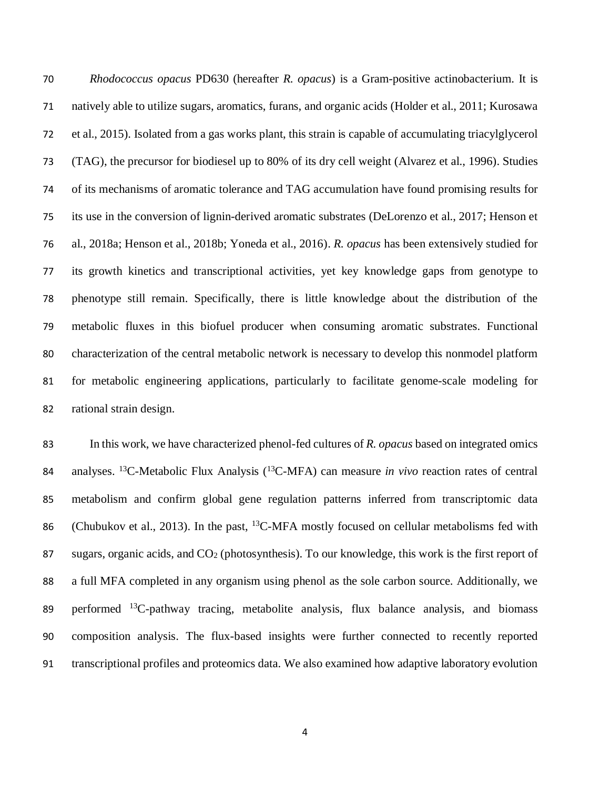*Rhodococcus opacus* PD630 (hereafter *R. opacus*) is a Gram-positive actinobacterium. It is natively able to utilize sugars, aromatics, furans, and organic acids (Holder et al., 2011; Kurosawa et al., 2015). Isolated from a gas works plant, this strain is capable of accumulating triacylglycerol (TAG), the precursor for biodiesel up to 80% of its dry cell weight (Alvarez et al., 1996). Studies of its mechanisms of aromatic tolerance and TAG accumulation have found promising results for its use in the conversion of lignin-derived aromatic substrates (DeLorenzo et al., 2017; Henson et al., 2018a; Henson et al., 2018b; Yoneda et al., 2016). *R. opacus* has been extensively studied for its growth kinetics and transcriptional activities, yet key knowledge gaps from genotype to phenotype still remain. Specifically, there is little knowledge about the distribution of the metabolic fluxes in this biofuel producer when consuming aromatic substrates. Functional characterization of the central metabolic network is necessary to develop this nonmodel platform for metabolic engineering applications, particularly to facilitate genome-scale modeling for rational strain design.

 In this work, we have characterized phenol-fed cultures of *R. opacus* based on integrated omics 84 analyses. <sup>13</sup>C-Metabolic Flux Analysis (<sup>13</sup>C-MFA) can measure *in vivo* reaction rates of central metabolism and confirm global gene regulation patterns inferred from transcriptomic data 86 (Chubukov et al., 2013). In the past, <sup>13</sup>C-MFA mostly focused on cellular metabolisms fed with 87 sugars, organic acids, and  $CO<sub>2</sub>$  (photosynthesis). To our knowledge, this work is the first report of a full MFA completed in any organism using phenol as the sole carbon source. Additionally, we 89 performed  ${}^{13}C$ -pathway tracing, metabolite analysis, flux balance analysis, and biomass composition analysis. The flux-based insights were further connected to recently reported transcriptional profiles and proteomics data. We also examined how adaptive laboratory evolution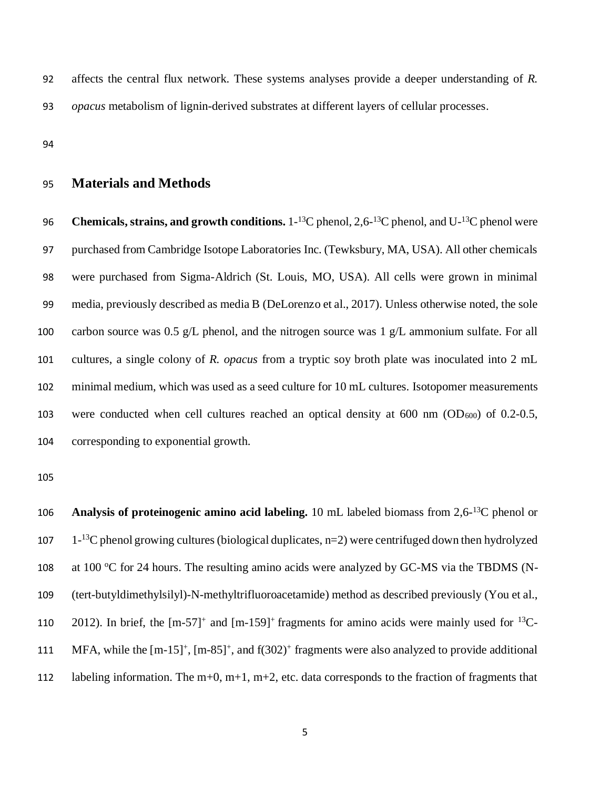92 affects the central flux network. These systems analyses provide a deeper understanding of *R.* 93 *opacus* metabolism of lignin-derived substrates at different layers of cellular processes.

94

## 95 **Materials and Methods**

96 Chemicals, strains, and growth conditions. 1-<sup>13</sup>C phenol, 2,6-<sup>13</sup>C phenol, and U-<sup>13</sup>C phenol were purchased from Cambridge Isotope Laboratories Inc. (Tewksbury, MA, USA). All other chemicals were purchased from Sigma-Aldrich (St. Louis, MO, USA). All cells were grown in minimal media, previously described as media B (DeLorenzo et al., 2017). Unless otherwise noted, the sole 100 carbon source was  $0.5 \text{ g/L}$  phenol, and the nitrogen source was 1 g/L ammonium sulfate. For all cultures, a single colony of *R. opacus* from a tryptic soy broth plate was inoculated into 2 mL minimal medium, which was used as a seed culture for 10 mL cultures. Isotopomer measurements 103 were conducted when cell cultures reached an optical density at  $600 \text{ nm}$  (OD<sub>600</sub>) of 0.2-0.5, corresponding to exponential growth.

105

106 **Analysis of proteinogenic amino acid labeling.** 10 mL labeled biomass from 2,6-<sup>13</sup>C phenol or 107 1- $^{13}$ C phenol growing cultures (biological duplicates, n=2) were centrifuged down then hydrolyzed 108 at 100  $\degree$ C for 24 hours. The resulting amino acids were analyzed by GC-MS via the TBDMS (N-109 (tert-butyldimethylsilyl)-N-methyltrifluoroacetamide) method as described previously (You et al., 110 2012). In brief, the  $[m-57]^+$  and  $[m-159]^+$  fragments for amino acids were mainly used for  $^{13}C$ -111 MFA, while the  $[m-15]^+$ ,  $[m-85]^+$ , and  $f(302)^+$  fragments were also analyzed to provide additional 112 labeling information. The m+0, m+1, m+2, etc. data corresponds to the fraction of fragments that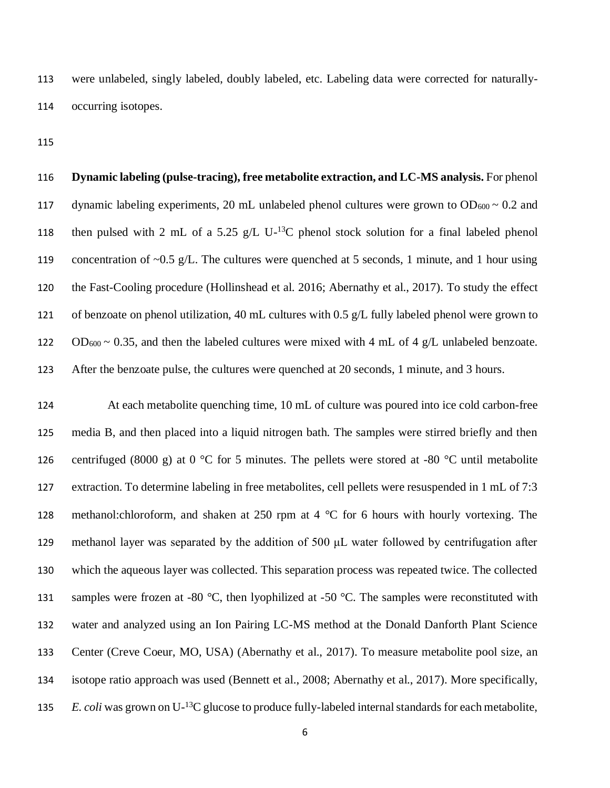were unlabeled, singly labeled, doubly labeled, etc. Labeling data were corrected for naturally-occurring isotopes.

 **Dynamic labeling (pulse-tracing), free metabolite extraction, and LC-MS analysis.** For phenol 117 dynamic labeling experiments, 20 mL unlabeled phenol cultures were grown to  $OD_{600} \sim 0.2$  and 118 then pulsed with 2 mL of a 5.25 g/L U- $^{13}$ C phenol stock solution for a final labeled phenol concentration of ~0.5 g/L. The cultures were quenched at 5 seconds, 1 minute, and 1 hour using the Fast-Cooling procedure (Hollinshead et al. 2016; Abernathy et al., 2017). To study the effect of benzoate on phenol utilization, 40 mL cultures with 0.5 g/L fully labeled phenol were grown to 122 OD<sub>600</sub>  $\sim$  0.35, and then the labeled cultures were mixed with 4 mL of 4 g/L unlabeled benzoate. After the benzoate pulse, the cultures were quenched at 20 seconds, 1 minute, and 3 hours.

 At each metabolite quenching time, 10 mL of culture was poured into ice cold carbon-free media B, and then placed into a liquid nitrogen bath. The samples were stirred briefly and then 126 centrifuged (8000 g) at 0 °C for 5 minutes. The pellets were stored at -80 °C until metabolite extraction. To determine labeling in free metabolites, cell pellets were resuspended in 1 mL of 7:3 methanol:chloroform, and shaken at 250 rpm at 4 °C for 6 hours with hourly vortexing. The methanol layer was separated by the addition of 500 μL water followed by centrifugation after which the aqueous layer was collected. This separation process was repeated twice. The collected 131 samples were frozen at -80  $\degree$ C, then lyophilized at -50  $\degree$ C. The samples were reconstituted with water and analyzed using an Ion Pairing LC-MS method at the Donald Danforth Plant Science Center (Creve Coeur, MO, USA) (Abernathy et al., 2017). To measure metabolite pool size, an isotope ratio approach was used (Bennett et al., 2008; Abernathy et al., 2017). More specifically, *E. coli* was grown on U<sup>-13</sup>C glucose to produce fully-labeled internal standards for each metabolite,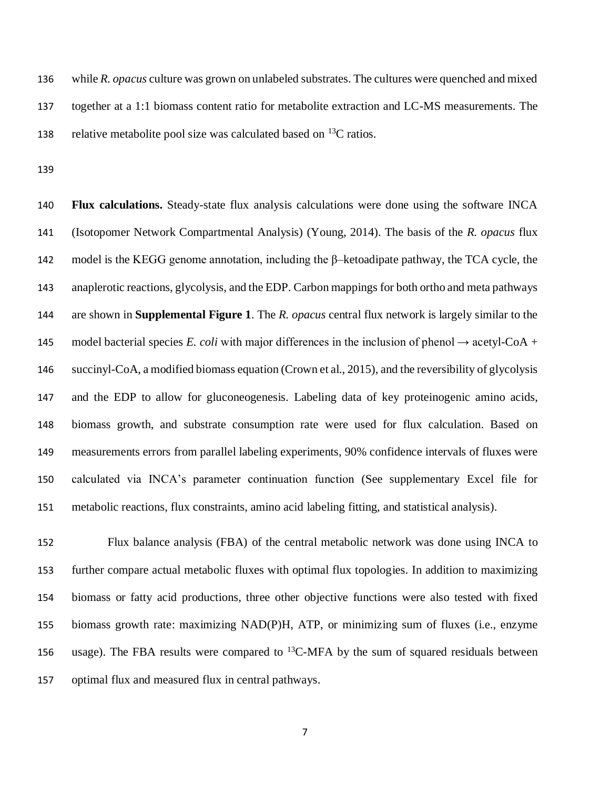while *R. opacus* culture was grown on unlabeled substrates. The cultures were quenched and mixed together at a 1:1 biomass content ratio for metabolite extraction and LC-MS measurements. The 138 relative metabolite pool size was calculated based on  $^{13}C$  ratios.

 **Flux calculations.** Steady-state flux analysis calculations were done using the software INCA (Isotopomer Network Compartmental Analysis) (Young, 2014). The basis of the *R. opacus* flux model is the KEGG genome annotation, including the β–ketoadipate pathway, the TCA cycle, the anaplerotic reactions, glycolysis, and the EDP. Carbon mappings for both ortho and meta pathways are shown in **Supplemental Figure 1**. The *R. opacus* central flux network is largely similar to the 145 model bacterial species *E. coli* with major differences in the inclusion of phenol  $\rightarrow$  acetyl-CoA + succinyl-CoA, a modified biomass equation (Crown et al., 2015), and the reversibility of glycolysis and the EDP to allow for gluconeogenesis. Labeling data of key proteinogenic amino acids, biomass growth, and substrate consumption rate were used for flux calculation. Based on measurements errors from parallel labeling experiments, 90% confidence intervals of fluxes were calculated via INCA's parameter continuation function (See supplementary Excel file for metabolic reactions, flux constraints, amino acid labeling fitting, and statistical analysis).

 Flux balance analysis (FBA) of the central metabolic network was done using INCA to further compare actual metabolic fluxes with optimal flux topologies. In addition to maximizing biomass or fatty acid productions, three other objective functions were also tested with fixed biomass growth rate: maximizing NAD(P)H, ATP, or minimizing sum of fluxes (i.e., enzyme 156 usage). The FBA results were compared to  ${}^{13}$ C-MFA by the sum of squared residuals between optimal flux and measured flux in central pathways.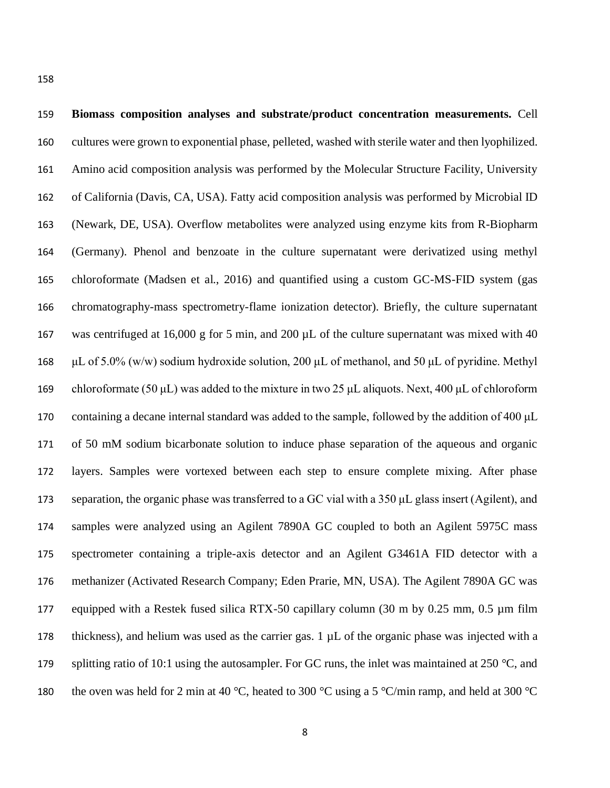| 159 | Biomass composition analyses and substrate/product concentration measurements. Cell                             |
|-----|-----------------------------------------------------------------------------------------------------------------|
| 160 | cultures were grown to exponential phase, pelleted, washed with sterile water and then lyophilized.             |
| 161 | Amino acid composition analysis was performed by the Molecular Structure Facility, University                   |
| 162 | of California (Davis, CA, USA). Fatty acid composition analysis was performed by Microbial ID                   |
| 163 | (Newark, DE, USA). Overflow metabolites were analyzed using enzyme kits from R-Biopharm                         |
| 164 | (Germany). Phenol and benzoate in the culture supernatant were derivatized using methyl                         |
| 165 | chloroformate (Madsen et al., 2016) and quantified using a custom GC-MS-FID system (gas                         |
| 166 | chromatography-mass spectrometry-flame ionization detector). Briefly, the culture supernatant                   |
| 167 | was centrifuged at 16,000 g for 5 min, and 200 $\mu$ L of the culture supernatant was mixed with 40             |
| 168 | $\mu$ L of 5.0% (w/w) sodium hydroxide solution, 200 $\mu$ L of methanol, and 50 $\mu$ L of pyridine. Methyl    |
| 169 | chloroformate (50 $\mu$ L) was added to the mixture in two 25 $\mu$ L aliquots. Next, 400 $\mu$ L of chloroform |
| 170 | containing a decane internal standard was added to the sample, followed by the addition of 400 µL               |
| 171 | of 50 mM sodium bicarbonate solution to induce phase separation of the aqueous and organic                      |
| 172 | layers. Samples were vortexed between each step to ensure complete mixing. After phase                          |
| 173 | separation, the organic phase was transferred to a GC vial with a 350 µL glass insert (Agilent), and            |
| 174 | samples were analyzed using an Agilent 7890A GC coupled to both an Agilent 5975C mass                           |
| 175 | spectrometer containing a triple-axis detector and an Agilent G3461A FID detector with a                        |
| 176 | methanizer (Activated Research Company; Eden Prarie, MN, USA). The Agilent 7890A GC was                         |
| 177 | equipped with a Restek fused silica RTX-50 capillary column (30 m by 0.25 mm, 0.5 µm film                       |
| 178 | thickness), and helium was used as the carrier gas. 1 µL of the organic phase was injected with a               |
| 179 | splitting ratio of 10:1 using the autosampler. For GC runs, the inlet was maintained at 250 $^{\circ}$ C, and   |
| 180 | the oven was held for 2 min at 40 °C, heated to 300 °C using a 5 °C/min ramp, and held at 300 °C                |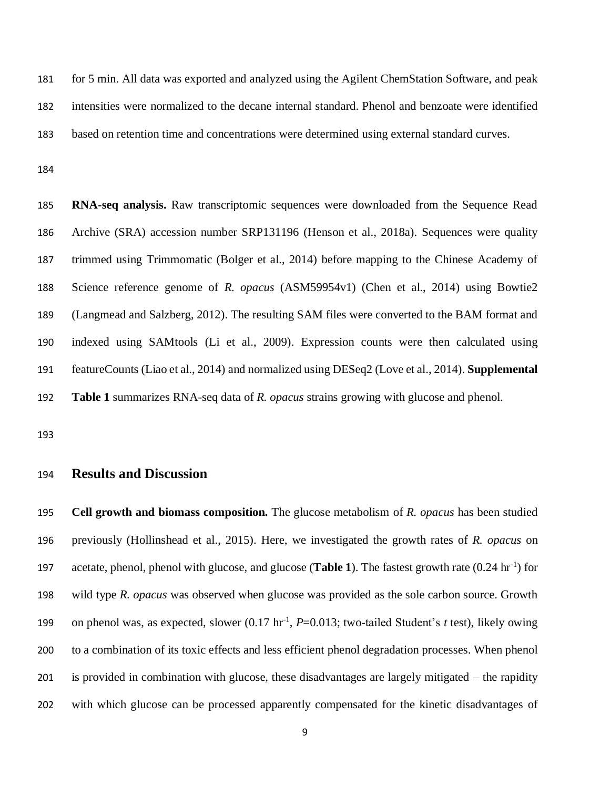for 5 min. All data was exported and analyzed using the Agilent ChemStation Software, and peak intensities were normalized to the decane internal standard. Phenol and benzoate were identified based on retention time and concentrations were determined using external standard curves.

 **RNA-seq analysis.** Raw transcriptomic sequences were downloaded from the Sequence Read Archive (SRA) accession number SRP131196 (Henson et al., 2018a). Sequences were quality trimmed using Trimmomatic (Bolger et al., 2014) before mapping to the Chinese Academy of Science reference genome of *R. opacus* (ASM59954v1) (Chen et al., 2014) using Bowtie2 (Langmead and Salzberg, 2012). The resulting SAM files were converted to the BAM format and indexed using SAMtools (Li et al., 2009). Expression counts were then calculated using featureCounts (Liao et al., 2014) and normalized using DESeq2 (Love et al., 2014). **Supplemental Table 1** summarizes RNA-seq data of *R. opacus* strains growing with glucose and phenol.

## **Results and Discussion**

 **Cell growth and biomass composition.** The glucose metabolism of *R. opacus* has been studied previously (Hollinshead et al., 2015). Here, we investigated the growth rates of *R. opacus* on acetate, phenol, phenol with glucose, and glucose (**Table 1**). The fastest growth rate  $(0.24 \text{ hr}^{-1})$  for wild type *R. opacus* was observed when glucose was provided as the sole carbon source. Growth 199 on phenol was, as expected, slower  $(0.17 \text{ hr}^{-1}, P=0.013)$ ; two-tailed Student's *t* test), likely owing to a combination of its toxic effects and less efficient phenol degradation processes. When phenol is provided in combination with glucose, these disadvantages are largely mitigated – the rapidity with which glucose can be processed apparently compensated for the kinetic disadvantages of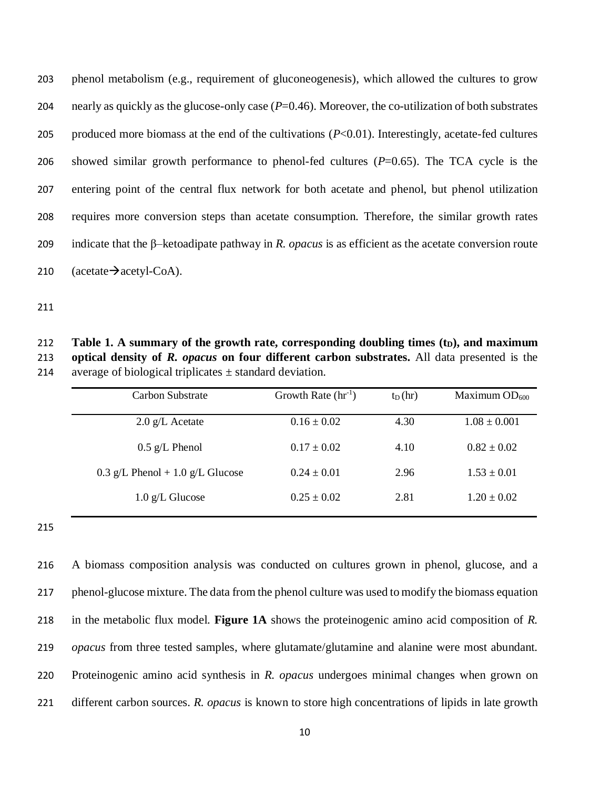phenol metabolism (e.g., requirement of gluconeogenesis), which allowed the cultures to grow nearly as quickly as the glucose-only case (*P*=0.46). Moreover, the co-utilization of both substrates produced more biomass at the end of the cultivations (*P*<0.01). Interestingly, acetate-fed cultures showed similar growth performance to phenol-fed cultures (*P*=0.65). The TCA cycle is the entering point of the central flux network for both acetate and phenol, but phenol utilization requires more conversion steps than acetate consumption. Therefore, the similar growth rates indicate that the β–ketoadipate pathway in *R. opacus* is as efficient as the acetate conversion route  $(\text{acetate} \rightarrow \text{acetyl-CoA}).$ 

212 **Table 1.** A summary of the growth rate, corresponding doubling times  $(t<sub>D</sub>)$ , and maximum **optical density of** *R. opacus* **on four different carbon substrates.** All data presented is the 214 average of biological triplicates  $\pm$  standard deviation.

| Carbon Substrate                 | Growth Rate $(hr^{-1})$ | $t_D(hr)$ | Maximum $OD_{600}$ |
|----------------------------------|-------------------------|-----------|--------------------|
| $2.0$ g/L Acetate                | $0.16 \pm 0.02$         | 4.30      | $1.08 \pm 0.001$   |
| $0.5$ g/L Phenol                 | $0.17 \pm 0.02$         | 4.10      | $0.82 \pm 0.02$    |
| 0.3 g/L Phenol + 1.0 g/L Glucose | $0.24 \pm 0.01$         | 2.96      | $1.53 \pm 0.01$    |
| $1.0$ g/L Glucose                | $0.25 \pm 0.02$         | 2.81      | $1.20 \pm 0.02$    |

 A biomass composition analysis was conducted on cultures grown in phenol, glucose, and a phenol-glucose mixture. The data from the phenol culture was used to modify the biomass equation in the metabolic flux model. **Figure 1A** shows the proteinogenic amino acid composition of *R. opacus* from three tested samples, where glutamate/glutamine and alanine were most abundant. Proteinogenic amino acid synthesis in *R. opacus* undergoes minimal changes when grown on different carbon sources. *R. opacus* is known to store high concentrations of lipids in late growth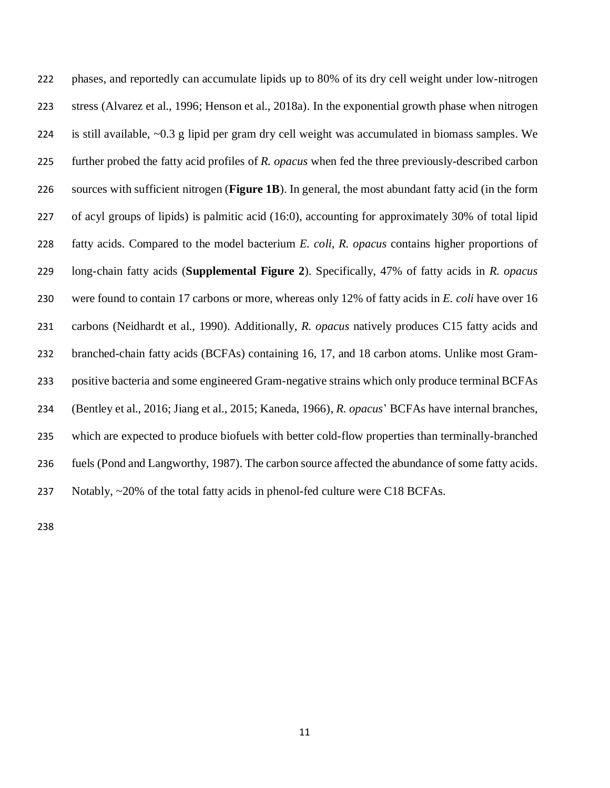phases, and reportedly can accumulate lipids up to 80% of its dry cell weight under low-nitrogen stress (Alvarez et al., 1996; Henson et al., 2018a). In the exponential growth phase when nitrogen is still available, ~0.3 g lipid per gram dry cell weight was accumulated in biomass samples. We further probed the fatty acid profiles of *R. opacus* when fed the three previously-described carbon sources with sufficient nitrogen (**Figure 1B**). In general, the most abundant fatty acid (in the form of acyl groups of lipids) is palmitic acid (16:0), accounting for approximately 30% of total lipid fatty acids. Compared to the model bacterium *E. coli*, *R. opacus* contains higher proportions of long-chain fatty acids (**Supplemental Figure 2**). Specifically, 47% of fatty acids in *R. opacus* were found to contain 17 carbons or more, whereas only 12% of fatty acids in *E. coli* have over 16 carbons (Neidhardt et al., 1990). Additionally, *R. opacus* natively produces C15 fatty acids and branched-chain fatty acids (BCFAs) containing 16, 17, and 18 carbon atoms. Unlike most Gram- positive bacteria and some engineered Gram-negative strains which only produce terminal BCFAs (Bentley et al., 2016; Jiang et al., 2015; Kaneda, 1966), *R. opacus*' BCFAs have internal branches, which are expected to produce biofuels with better cold-flow properties than terminally-branched fuels (Pond and Langworthy, 1987). The carbon source affected the abundance of some fatty acids. Notably, ~20% of the total fatty acids in phenol-fed culture were C18 BCFAs.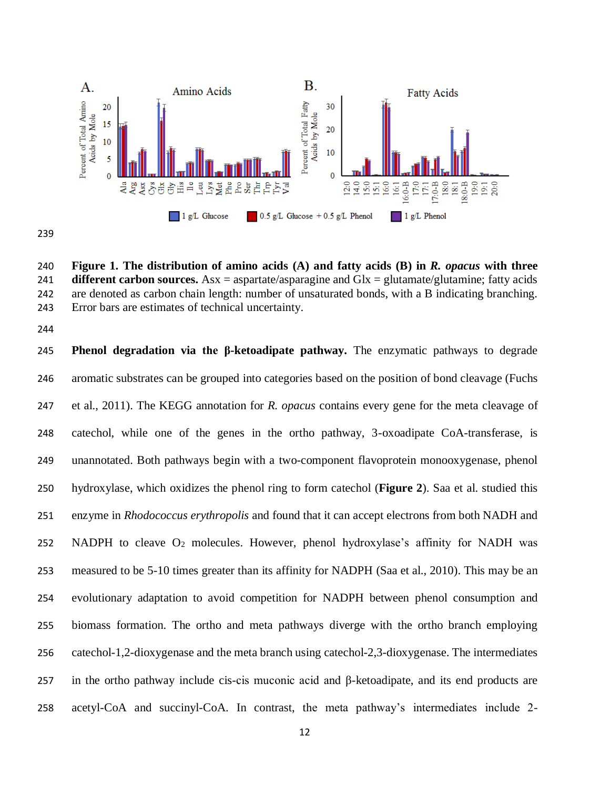

 **Figure 1. The distribution of amino acids (A) and fatty acids (B) in** *R. opacus* **with three different carbon sources.** Asx = aspartate/asparagine and Glx = glutamate/glutamine; fatty acids are denoted as carbon chain length: number of unsaturated bonds, with a B indicating branching. Error bars are estimates of technical uncertainty.

 **Phenol degradation via the β-ketoadipate pathway.** The enzymatic pathways to degrade aromatic substrates can be grouped into categories based on the position of bond cleavage (Fuchs et al., 2011). The KEGG annotation for *R. opacus* contains every gene for the meta cleavage of catechol, while one of the genes in the ortho pathway, 3-oxoadipate CoA-transferase, is unannotated. Both pathways begin with a two-component flavoprotein monooxygenase, phenol hydroxylase, which oxidizes the phenol ring to form catechol (**Figure 2**). Saa et al. studied this enzyme in *Rhodococcus erythropolis* and found that it can accept electrons from both NADH and NADPH to cleave O<sup>2</sup> molecules. However, phenol hydroxylase's affinity for NADH was measured to be 5-10 times greater than its affinity for NADPH (Saa et al., 2010). This may be an evolutionary adaptation to avoid competition for NADPH between phenol consumption and biomass formation. The ortho and meta pathways diverge with the ortho branch employing catechol-1,2-dioxygenase and the meta branch using catechol-2,3-dioxygenase. The intermediates in the ortho pathway include cis-cis muconic acid and β-ketoadipate, and its end products are acetyl-CoA and succinyl-CoA. In contrast, the meta pathway's intermediates include 2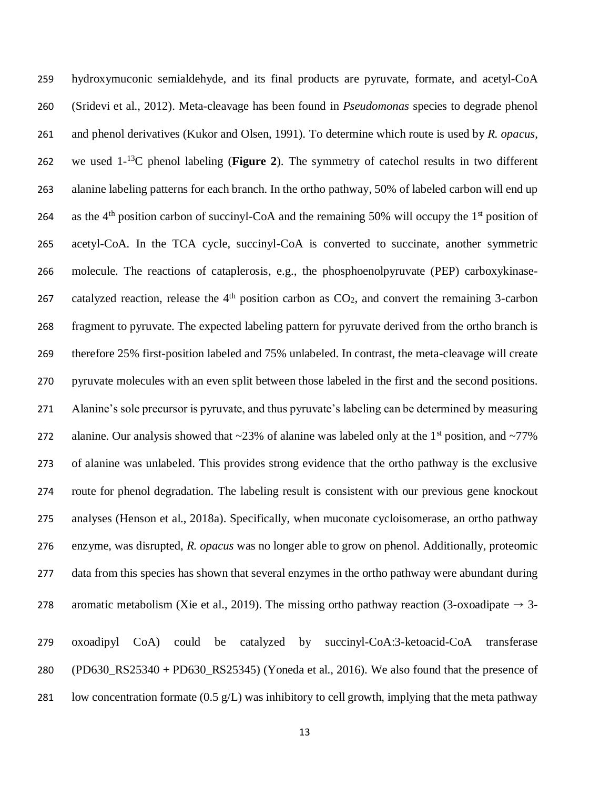hydroxymuconic semialdehyde, and its final products are pyruvate, formate, and acetyl-CoA (Sridevi et al., 2012). Meta-cleavage has been found in *Pseudomonas* species to degrade phenol and phenol derivatives (Kukor and Olsen, 1991). To determine which route is used by *R. opacus*, 262 we used  $1<sup>-13</sup>C$  phenol labeling (**Figure 2**). The symmetry of catechol results in two different alanine labeling patterns for each branch. In the ortho pathway, 50% of labeled carbon will end up 264 as the 4<sup>th</sup> position carbon of succinyl-CoA and the remaining 50% will occupy the  $1<sup>st</sup>$  position of acetyl-CoA. In the TCA cycle, succinyl-CoA is converted to succinate, another symmetric molecule. The reactions of cataplerosis, e.g., the phosphoenolpyruvate (PEP) carboxykinase-267 catalyzed reaction, release the  $4<sup>th</sup>$  position carbon as  $CO<sub>2</sub>$ , and convert the remaining 3-carbon fragment to pyruvate. The expected labeling pattern for pyruvate derived from the ortho branch is therefore 25% first-position labeled and 75% unlabeled. In contrast, the meta-cleavage will create pyruvate molecules with an even split between those labeled in the first and the second positions. Alanine's sole precursor is pyruvate, and thus pyruvate's labeling can be determined by measuring 272 alanine. Our analysis showed that  $\sim$ 23% of alanine was labeled only at the 1<sup>st</sup> position, and  $\sim$ 77% of alanine was unlabeled. This provides strong evidence that the ortho pathway is the exclusive route for phenol degradation. The labeling result is consistent with our previous gene knockout analyses (Henson et al., 2018a). Specifically, when muconate cycloisomerase, an ortho pathway enzyme, was disrupted, *R. opacus* was no longer able to grow on phenol. Additionally, proteomic 277 data from this species has shown that several enzymes in the ortho pathway were abundant during 278 aromatic metabolism (Xie et al., 2019). The missing ortho pathway reaction (3-oxoadipate  $\rightarrow$  3- oxoadipyl CoA) could be catalyzed by succinyl-CoA:3-ketoacid-CoA transferase (PD630\_RS25340 + PD630\_RS25345) (Yoneda et al., 2016). We also found that the presence of 281 low concentration formate  $(0.5 \text{ g/L})$  was inhibitory to cell growth, implying that the meta pathway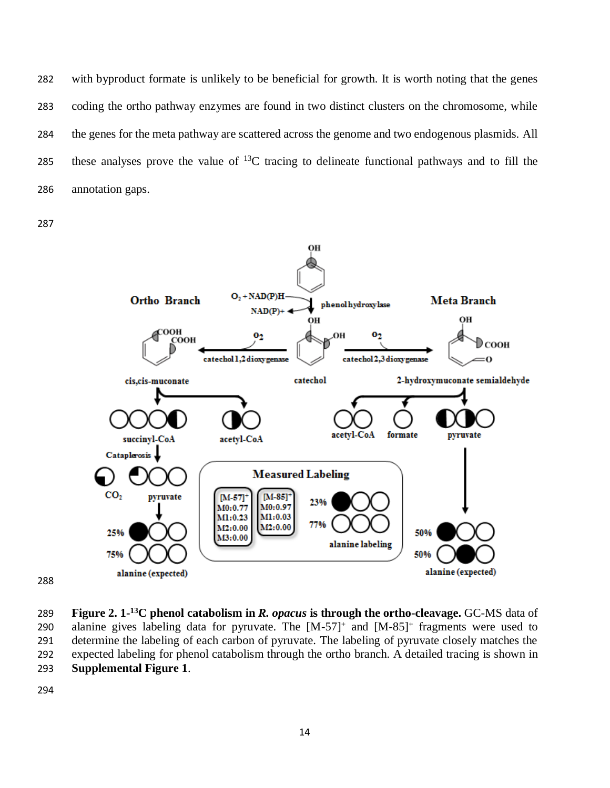with byproduct formate is unlikely to be beneficial for growth. It is worth noting that the genes coding the ortho pathway enzymes are found in two distinct clusters on the chromosome, while the genes for the meta pathway are scattered across the genome and two endogenous plasmids. All 285 these analyses prove the value of  ${}^{13}C$  tracing to delineate functional pathways and to fill the annotation gaps.



**Figure 2. 1-**<sup>13</sup>C phenol catabolism in *R. opacus* is through the ortho-cleavage. GC-MS data of 290 alanine gives labeling data for pyruvate. The  $[M-57]^+$  and  $[M-85]^+$  fragments were used to determine the labeling of each carbon of pyruvate. The labeling of pyruvate closely matches the expected labeling for phenol catabolism through the ortho branch. A detailed tracing is shown in **Supplemental Figure 1**.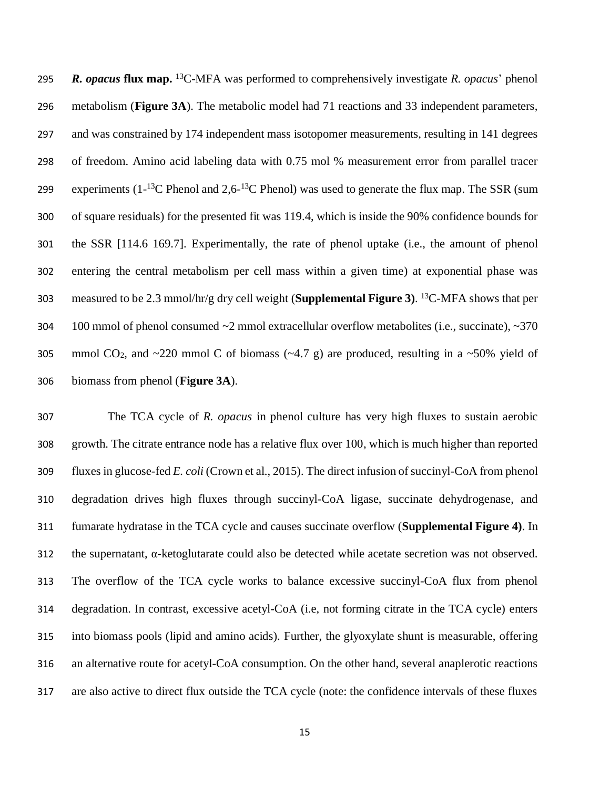*R. opacus* **flux map.** <sup>13</sup>C-MFA was performed to comprehensively investigate *R. opacus*' phenol metabolism (**Figure 3A**). The metabolic model had 71 reactions and 33 independent parameters, and was constrained by 174 independent mass isotopomer measurements, resulting in 141 degrees of freedom. Amino acid labeling data with 0.75 mol % measurement error from parallel tracer 299 experiments  $(1^{-13}C$  Phenol and  $2.6^{-13}C$  Phenol) was used to generate the flux map. The SSR (sum of square residuals) for the presented fit was 119.4, which is inside the 90% confidence bounds for the SSR [114.6 169.7]. Experimentally, the rate of phenol uptake (i.e., the amount of phenol entering the central metabolism per cell mass within a given time) at exponential phase was measured to be 2.3 mmol/hr/g dry cell weight (**Supplemental Figure 3**). <sup>13</sup>C-MFA shows that per 304 100 mmol of phenol consumed  $\sim$ 2 mmol extracellular overflow metabolites (i.e., succinate),  $\sim$ 370 305 mmol CO<sub>2</sub>, and  $\sim$  220 mmol C of biomass ( $\sim$  4.7 g) are produced, resulting in a  $\sim$  50% yield of biomass from phenol (**Figure 3A**).

 The TCA cycle of *R. opacus* in phenol culture has very high fluxes to sustain aerobic growth. The citrate entrance node has a relative flux over 100, which is much higher than reported fluxes in glucose-fed *E. coli* (Crown et al., 2015). The direct infusion of succinyl-CoA from phenol degradation drives high fluxes through succinyl-CoA ligase, succinate dehydrogenase, and fumarate hydratase in the TCA cycle and causes succinate overflow (**Supplemental Figure 4)**. In 312 the supernatant,  $\alpha$ -ketoglutarate could also be detected while acetate secretion was not observed. The overflow of the TCA cycle works to balance excessive succinyl-CoA flux from phenol degradation. In contrast, excessive acetyl-CoA (i.e, not forming citrate in the TCA cycle) enters into biomass pools (lipid and amino acids). Further, the glyoxylate shunt is measurable, offering an alternative route for acetyl-CoA consumption. On the other hand, several anaplerotic reactions are also active to direct flux outside the TCA cycle (note: the confidence intervals of these fluxes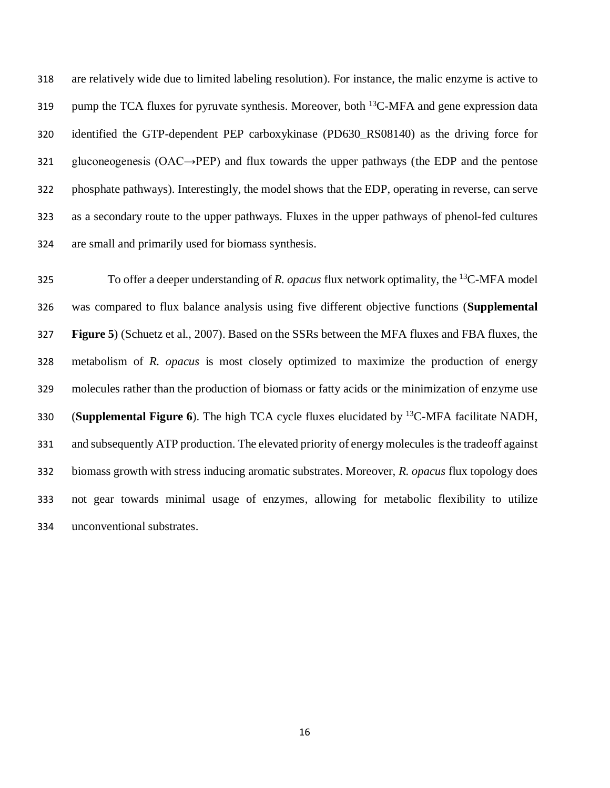are relatively wide due to limited labeling resolution). For instance, the malic enzyme is active to 319 pump the TCA fluxes for pyruvate synthesis. Moreover, both  ${}^{13}$ C-MFA and gene expression data identified the GTP-dependent PEP carboxykinase (PD630\_RS08140) as the driving force for gluconeogenesis (OAC→PEP) and flux towards the upper pathways (the EDP and the pentose phosphate pathways). Interestingly, the model shows that the EDP, operating in reverse, can serve as a secondary route to the upper pathways. Fluxes in the upper pathways of phenol-fed cultures are small and primarily used for biomass synthesis.

To offer a deeper understanding of *R. opacus* flux network optimality, the <sup>13</sup>C-MFA model was compared to flux balance analysis using five different objective functions (**Supplemental Figure 5**) (Schuetz et al., 2007). Based on the SSRs between the MFA fluxes and FBA fluxes, the metabolism of *R. opacus* is most closely optimized to maximize the production of energy molecules rather than the production of biomass or fatty acids or the minimization of enzyme use 330 (**Supplemental Figure 6**). The high TCA cycle fluxes elucidated by <sup>13</sup>C-MFA facilitate NADH, and subsequently ATP production. The elevated priority of energy molecules is the tradeoff against biomass growth with stress inducing aromatic substrates. Moreover, *R. opacus* flux topology does not gear towards minimal usage of enzymes, allowing for metabolic flexibility to utilize unconventional substrates.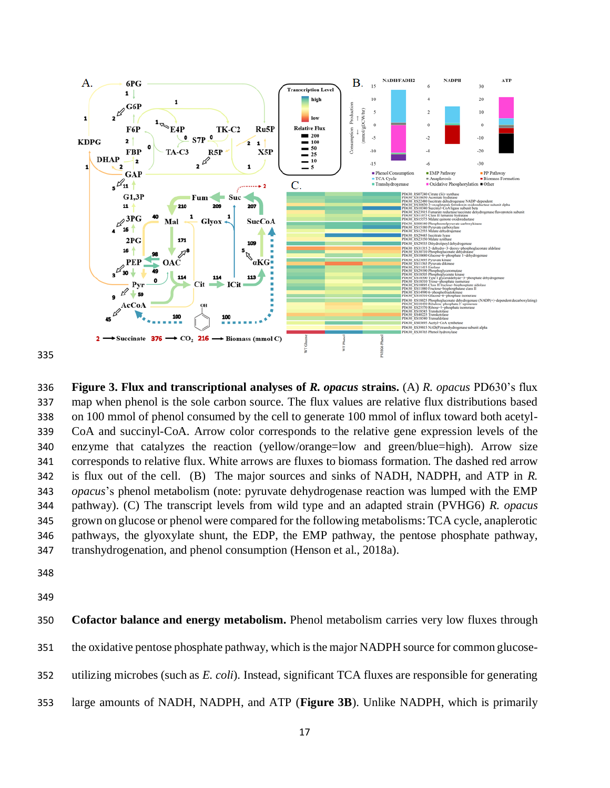

 **Figure 3. Flux and transcriptional analyses of** *R. opacus* **strains.** (A) *R. opacus* PD630's flux map when phenol is the sole carbon source. The flux values are relative flux distributions based on 100 mmol of phenol consumed by the cell to generate 100 mmol of influx toward both acetyl- CoA and succinyl-CoA. Arrow color corresponds to the relative gene expression levels of the enzyme that catalyzes the reaction (yellow/orange=low and green/blue=high). Arrow size corresponds to relative flux. White arrows are fluxes to biomass formation. The dashed red arrow is flux out of the cell. (B) The major sources and sinks of NADH, NADPH, and ATP in *R. opacus*'s phenol metabolism (note: pyruvate dehydrogenase reaction was lumped with the EMP pathway). (C) The transcript levels from wild type and an adapted strain (PVHG6) *R. opacus* grown on glucose or phenol were compared for the following metabolisms: TCA cycle, anaplerotic pathways, the glyoxylate shunt, the EDP, the EMP pathway, the pentose phosphate pathway, transhydrogenation, and phenol consumption (Henson et al., 2018a).

 **Cofactor balance and energy metabolism.** Phenol metabolism carries very low fluxes through 351 the oxidative pentose phosphate pathway, which is the major NADPH source for common glucose-utilizing microbes (such as *E. coli*). Instead, significant TCA fluxes are responsible for generating

large amounts of NADH, NADPH, and ATP (**Figure 3B**). Unlike NADPH, which is primarily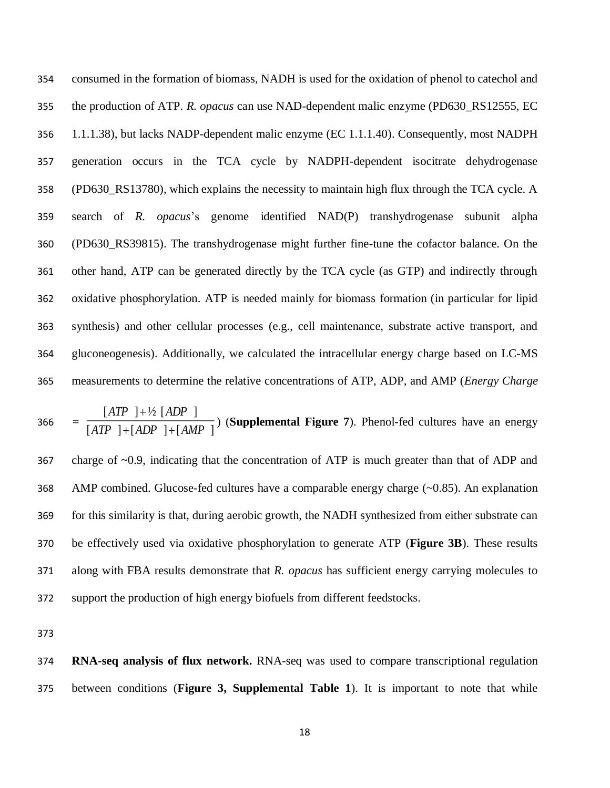consumed in the formation of biomass, NADH is used for the oxidation of phenol to catechol and the production of ATP. *R. opacus* can use NAD-dependent malic enzyme (PD630\_RS12555, EC 1.1.1.38), but lacks NADP-dependent malic enzyme (EC 1.1.1.40). Consequently, most NADPH generation occurs in the TCA cycle by NADPH-dependent isocitrate dehydrogenase (PD630\_RS13780), which explains the necessity to maintain high flux through the TCA cycle. A search of *R. opacus*'s genome identified NAD(P) transhydrogenase subunit alpha (PD630\_RS39815). The transhydrogenase might further fine-tune the cofactor balance. On the other hand, ATP can be generated directly by the TCA cycle (as GTP) and indirectly through oxidative phosphorylation. ATP is needed mainly for biomass formation (in particular for lipid synthesis) and other cellular processes (e.g., cell maintenance, substrate active transport, and gluconeogenesis). Additionally, we calculated the intracellular energy charge based on LC-MS measurements to determine the relative concentrations of ATP, ADP, and AMP (*Energy Charge* 

366 = 
$$
\frac{[ATP] + \frac{1}{2}[ADP]}{[ATP] + [ADP] + [AMP]}
$$
 (Supplemental Figure 7). Phenol-fed cultures have an energy

 charge of ~0.9, indicating that the concentration of ATP is much greater than that of ADP and AMP combined. Glucose-fed cultures have a comparable energy charge (~0.85). An explanation for this similarity is that, during aerobic growth, the NADH synthesized from either substrate can be effectively used via oxidative phosphorylation to generate ATP (**Figure 3B**). These results along with FBA results demonstrate that *R. opacus* has sufficient energy carrying molecules to support the production of high energy biofuels from different feedstocks.

 **RNA-seq analysis of flux network.** RNA-seq was used to compare transcriptional regulation between conditions (**Figure 3, Supplemental Table 1**). It is important to note that while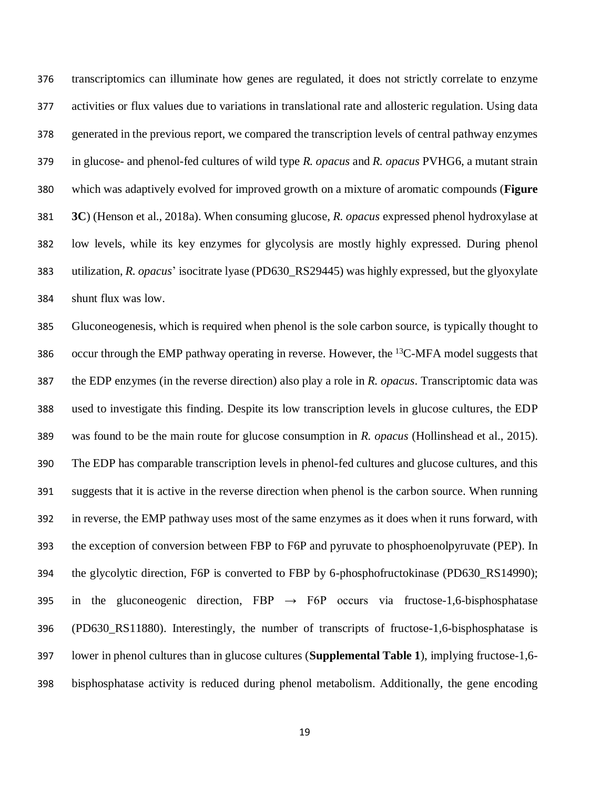transcriptomics can illuminate how genes are regulated, it does not strictly correlate to enzyme activities or flux values due to variations in translational rate and allosteric regulation. Using data generated in the previous report, we compared the transcription levels of central pathway enzymes in glucose- and phenol-fed cultures of wild type *R. opacus* and *R. opacus* PVHG6, a mutant strain which was adaptively evolved for improved growth on a mixture of aromatic compounds (**Figure 3C**) (Henson et al., 2018a). When consuming glucose, *R. opacus* expressed phenol hydroxylase at low levels, while its key enzymes for glycolysis are mostly highly expressed. During phenol utilization, *R. opacus*' isocitrate lyase (PD630\_RS29445) was highly expressed, but the glyoxylate shunt flux was low.

 Gluconeogenesis, which is required when phenol is the sole carbon source, is typically thought to 386 occur through the EMP pathway operating in reverse. However, the  $^{13}$ C-MFA model suggests that the EDP enzymes (in the reverse direction) also play a role in *R. opacus*. Transcriptomic data was used to investigate this finding. Despite its low transcription levels in glucose cultures, the EDP was found to be the main route for glucose consumption in *R. opacus* (Hollinshead et al., 2015). The EDP has comparable transcription levels in phenol-fed cultures and glucose cultures, and this suggests that it is active in the reverse direction when phenol is the carbon source. When running in reverse, the EMP pathway uses most of the same enzymes as it does when it runs forward, with the exception of conversion between FBP to F6P and pyruvate to phosphoenolpyruvate (PEP). In the glycolytic direction, F6P is converted to FBP by 6-phosphofructokinase (PD630\_RS14990); 395 in the gluconeogenic direction,  $FBP \rightarrow F6P$  occurs via fructose-1,6-bisphosphatase (PD630\_RS11880). Interestingly, the number of transcripts of fructose-1,6-bisphosphatase is lower in phenol cultures than in glucose cultures (**Supplemental Table 1**), implying fructose-1,6- bisphosphatase activity is reduced during phenol metabolism. Additionally, the gene encoding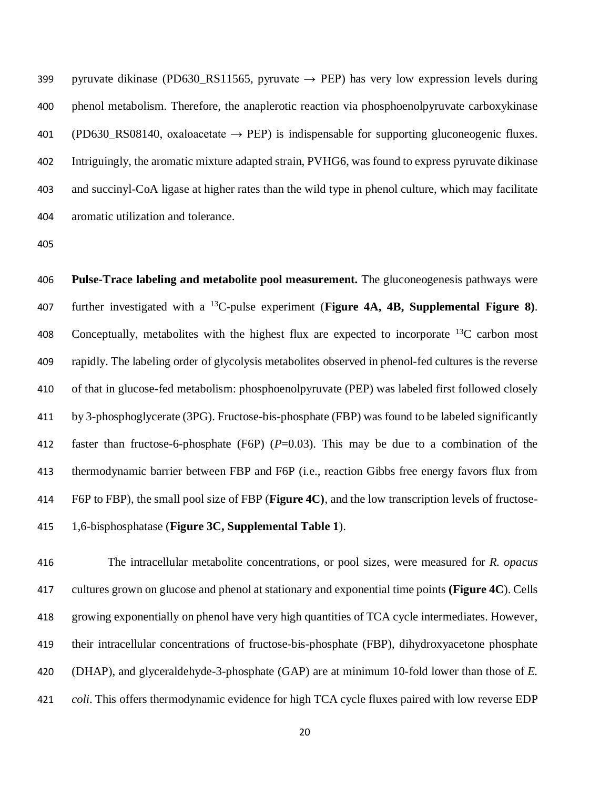399 pyruvate dikinase (PD630 RS11565, pyruvate  $\rightarrow$  PEP) has very low expression levels during phenol metabolism. Therefore, the anaplerotic reaction via phosphoenolpyruvate carboxykinase 401 (PD630\_RS08140, oxaloacetate  $\rightarrow$  PEP) is indispensable for supporting gluconeogenic fluxes. Intriguingly, the aromatic mixture adapted strain, PVHG6, was found to express pyruvate dikinase and succinyl-CoA ligase at higher rates than the wild type in phenol culture, which may facilitate aromatic utilization and tolerance.

 **Pulse-Trace labeling and metabolite pool measurement.** The gluconeogenesis pathways were 407 further investigated with a <sup>13</sup>C-pulse experiment (**Figure 4A, 4B, Supplemental Figure 8**). 408 Conceptually, metabolites with the highest flux are expected to incorporate  $^{13}$ C carbon most rapidly. The labeling order of glycolysis metabolites observed in phenol-fed cultures is the reverse of that in glucose-fed metabolism: phosphoenolpyruvate (PEP) was labeled first followed closely by 3-phosphoglycerate (3PG). Fructose-bis-phosphate (FBP) was found to be labeled significantly faster than fructose-6-phosphate (F6P) (*P*=0.03). This may be due to a combination of the thermodynamic barrier between FBP and F6P (i.e., reaction Gibbs free energy favors flux from F6P to FBP), the small pool size of FBP (**Figure 4C)**, and the low transcription levels of fructose-1,6-bisphosphatase (**Figure 3C, Supplemental Table 1**).

 The intracellular metabolite concentrations, or pool sizes, were measured for *R. opacus* cultures grown on glucose and phenol at stationary and exponential time points **(Figure 4C**). Cells growing exponentially on phenol have very high quantities of TCA cycle intermediates. However, their intracellular concentrations of fructose-bis-phosphate (FBP), dihydroxyacetone phosphate (DHAP), and glyceraldehyde-3-phosphate (GAP) are at minimum 10-fold lower than those of *E. coli*. This offers thermodynamic evidence for high TCA cycle fluxes paired with low reverse EDP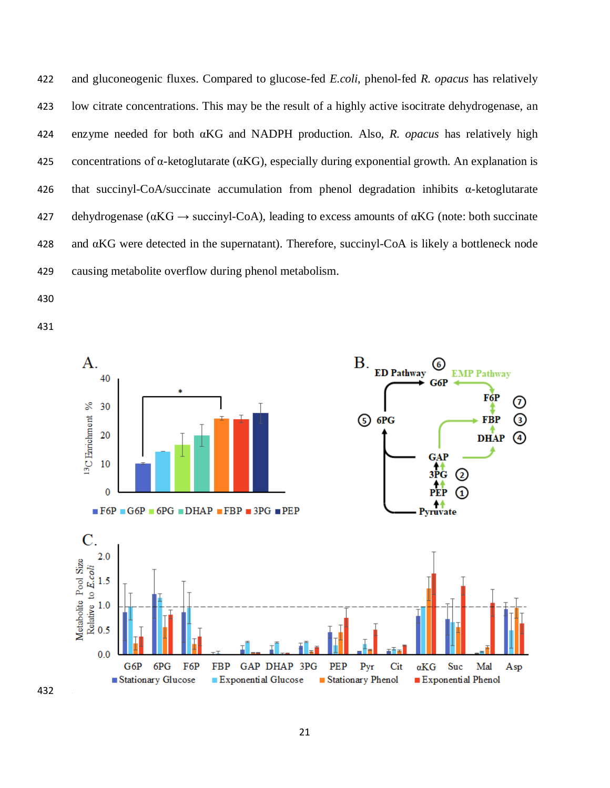and gluconeogenic fluxes. Compared to glucose-fed *E.coli*, phenol-fed *R. opacus* has relatively low citrate concentrations. This may be the result of a highly active isocitrate dehydrogenase, an enzyme needed for both αKG and NADPH production. Also, *R. opacus* has relatively high 425 concentrations of  $\alpha$ -ketoglutarate ( $\alpha$ KG), especially during exponential growth. An explanation is that succinyl-CoA/succinate accumulation from phenol degradation inhibits α-ketoglutarate 427 dehydrogenase ( $\alpha$ KG  $\rightarrow$  succinyl-CoA), leading to excess amounts of  $\alpha$ KG (note: both succinate and αKG were detected in the supernatant). Therefore, succinyl-CoA is likely a bottleneck node causing metabolite overflow during phenol metabolism.

- 
- 

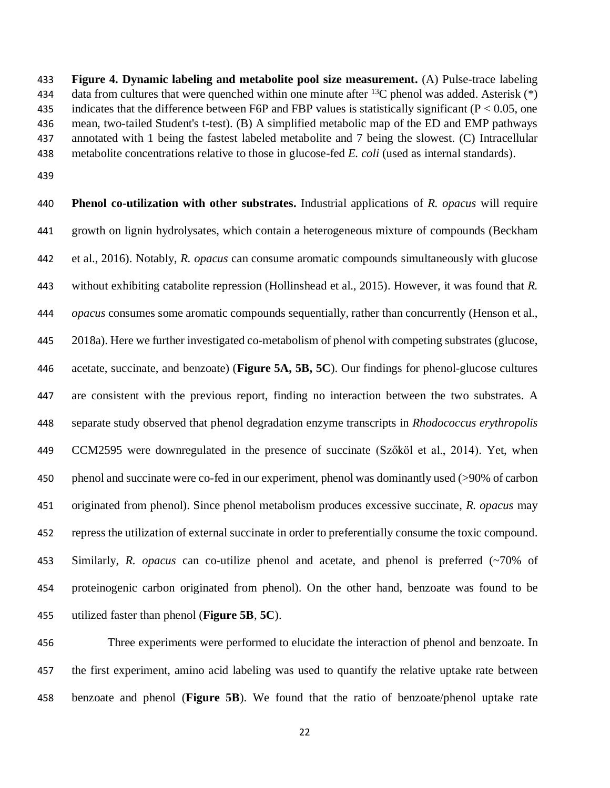**Figure 4. Dynamic labeling and metabolite pool size measurement.** (A) Pulse-trace labeling 434 data from cultures that were quenched within one minute after  $^{13}$ C phenol was added. Asterisk (\*) 435 indicates that the difference between F6P and FBP values is statistically significant ( $P < 0.05$ , one mean, two-tailed Student's t-test). (B) A simplified metabolic map of the ED and EMP pathways annotated with 1 being the fastest labeled metabolite and 7 being the slowest. (C) Intracellular metabolite concentrations relative to those in glucose-fed *E. coli* (used as internal standards).

 **Phenol co-utilization with other substrates.** Industrial applications of *R. opacus* will require growth on lignin hydrolysates, which contain a heterogeneous mixture of compounds (Beckham et al., 2016). Notably, *R. opacus* can consume aromatic compounds simultaneously with glucose without exhibiting catabolite repression (Hollinshead et al., 2015). However, it was found that *R. opacus* consumes some aromatic compounds sequentially, rather than concurrently (Henson et al., 2018a). Here we further investigated co-metabolism of phenol with competing substrates (glucose, acetate, succinate, and benzoate) (**Figure 5A, 5B, 5C**). Our findings for phenol-glucose cultures are consistent with the previous report, finding no interaction between the two substrates. A separate study observed that phenol degradation enzyme transcripts in *Rhodococcus erythropolis* CCM2595 were downregulated in the presence of succinate (Szőköl et al., 2014). Yet, when phenol and succinate were co-fed in our experiment, phenol was dominantly used (>90% of carbon originated from phenol). Since phenol metabolism produces excessive succinate, *R. opacus* may repress the utilization of external succinate in order to preferentially consume the toxic compound. Similarly, *R. opacus* can co-utilize phenol and acetate, and phenol is preferred (~70% of proteinogenic carbon originated from phenol). On the other hand, benzoate was found to be utilized faster than phenol (**Figure 5B**, **5C**).

 Three experiments were performed to elucidate the interaction of phenol and benzoate. In the first experiment, amino acid labeling was used to quantify the relative uptake rate between benzoate and phenol (**Figure 5B**). We found that the ratio of benzoate/phenol uptake rate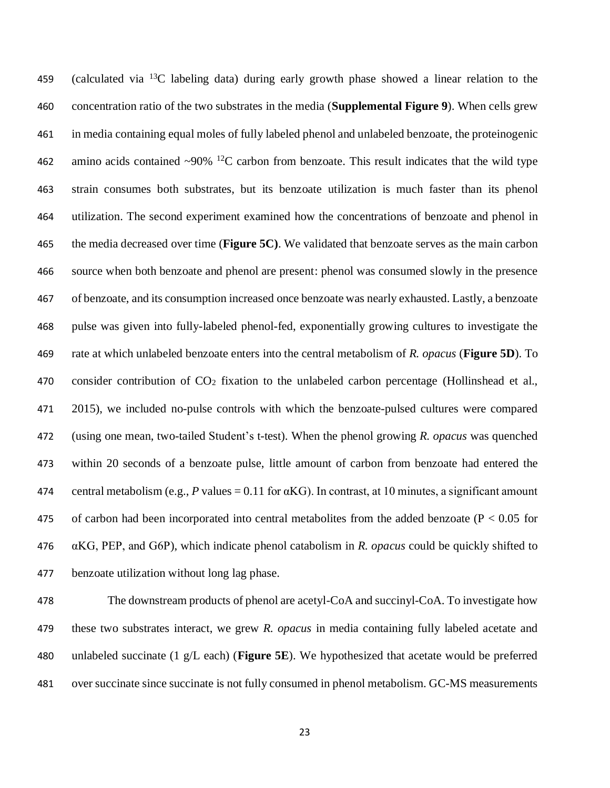459 (calculated via  $^{13}$ C labeling data) during early growth phase showed a linear relation to the concentration ratio of the two substrates in the media (**Supplemental Figure 9**). When cells grew in media containing equal moles of fully labeled phenol and unlabeled benzoate, the proteinogenic 462 amino acids contained  $\sim$ 90% <sup>12</sup>C carbon from benzoate. This result indicates that the wild type strain consumes both substrates, but its benzoate utilization is much faster than its phenol utilization. The second experiment examined how the concentrations of benzoate and phenol in the media decreased over time (**Figure 5C)**. We validated that benzoate serves as the main carbon source when both benzoate and phenol are present: phenol was consumed slowly in the presence of benzoate, and its consumption increased once benzoate was nearly exhausted. Lastly, a benzoate pulse was given into fully-labeled phenol-fed, exponentially growing cultures to investigate the rate at which unlabeled benzoate enters into the central metabolism of *R. opacus* (**Figure 5D**). To consider contribution of CO<sup>2</sup> fixation to the unlabeled carbon percentage (Hollinshead et al., 2015), we included no-pulse controls with which the benzoate-pulsed cultures were compared (using one mean, two-tailed Student's t-test). When the phenol growing *R. opacus* was quenched within 20 seconds of a benzoate pulse, little amount of carbon from benzoate had entered the 474 central metabolism (e.g., *P* values = 0.11 for  $\alpha$ KG). In contrast, at 10 minutes, a significant amount 475 of carbon had been incorporated into central metabolites from the added benzoate ( $P < 0.05$  for αKG, PEP, and G6P), which indicate phenol catabolism in *R. opacus* could be quickly shifted to benzoate utilization without long lag phase.

 The downstream products of phenol are acetyl-CoA and succinyl-CoA. To investigate how these two substrates interact, we grew *R. opacus* in media containing fully labeled acetate and unlabeled succinate (1 g/L each) (**Figure 5E**). We hypothesized that acetate would be preferred over succinate since succinate is not fully consumed in phenol metabolism. GC-MS measurements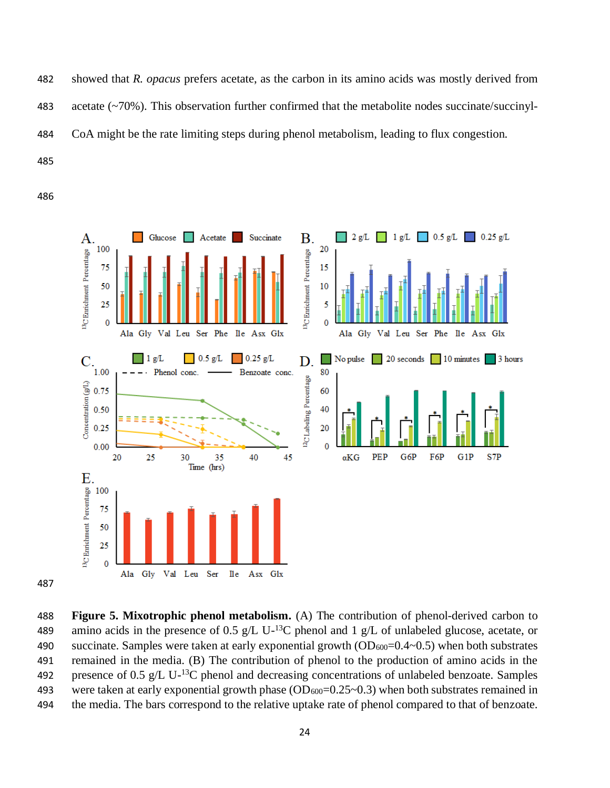showed that *R. opacus* prefers acetate, as the carbon in its amino acids was mostly derived from acetate (~70%). This observation further confirmed that the metabolite nodes succinate/succinyl-CoA might be the rate limiting steps during phenol metabolism, leading to flux congestion.



 **Figure 5. Mixotrophic phenol metabolism.** (A) The contribution of phenol-derived carbon to 489 amino acids in the presence of 0.5 g/L U-<sup>13</sup>C phenol and 1 g/L of unlabeled glucose, acetate, or 490 succinate. Samples were taken at early exponential growth  $OD_{600}=0.4-0.5$ ) when both substrates remained in the media. (B) The contribution of phenol to the production of amino acids in the 492 presence of 0.5 g/L U-<sup>13</sup>C phenol and decreasing concentrations of unlabeled benzoate. Samples 493 were taken at early exponential growth phase  $(OD_{600}=0.25-0.3)$  when both substrates remained in the media. The bars correspond to the relative uptake rate of phenol compared to that of benzoate.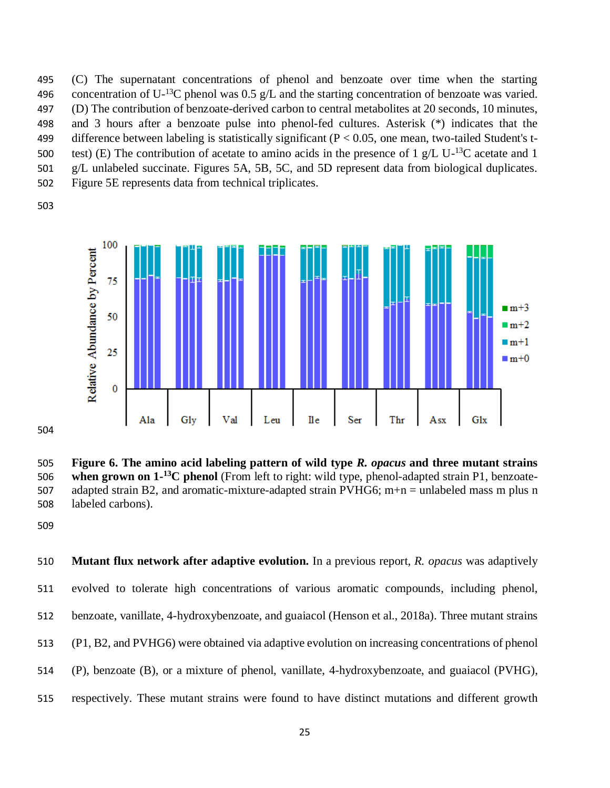(C) The supernatant concentrations of phenol and benzoate over time when the starting 496 concentration of U<sup>-13</sup>C phenol was 0.5 g/L and the starting concentration of benzoate was varied. (D) The contribution of benzoate-derived carbon to central metabolites at 20 seconds, 10 minutes, and 3 hours after a benzoate pulse into phenol-fed cultures. Asterisk (\*) indicates that the 499 difference between labeling is statistically significant ( $P < 0.05$ , one mean, two-tailed Student's ttest) (E) The contribution of acetate to amino acids in the presence of 1 g/L U-<sup>13</sup>C acetate and 1 g/L unlabeled succinate. Figures 5A, 5B, 5C, and 5D represent data from biological duplicates. Figure 5E represents data from technical triplicates.



 **Figure 6. The amino acid labeling pattern of wild type** *R. opacus* **and three mutant strains**  506 when grown on 1<sup>-13</sup>C phenol (From left to right: wild type, phenol-adapted strain P1, benzoate-507 adapted strain B2, and aromatic-mixture-adapted strain PVHG6; m+n = unlabeled mass m plus n labeled carbons).

 **Mutant flux network after adaptive evolution.** In a previous report, *R. opacus* was adaptively evolved to tolerate high concentrations of various aromatic compounds, including phenol, benzoate, vanillate, 4-hydroxybenzoate, and guaiacol (Henson et al., 2018a). Three mutant strains (P1, B2, and PVHG6) were obtained via adaptive evolution on increasing concentrations of phenol (P), benzoate (B), or a mixture of phenol, vanillate, 4-hydroxybenzoate, and guaiacol (PVHG), respectively. These mutant strains were found to have distinct mutations and different growth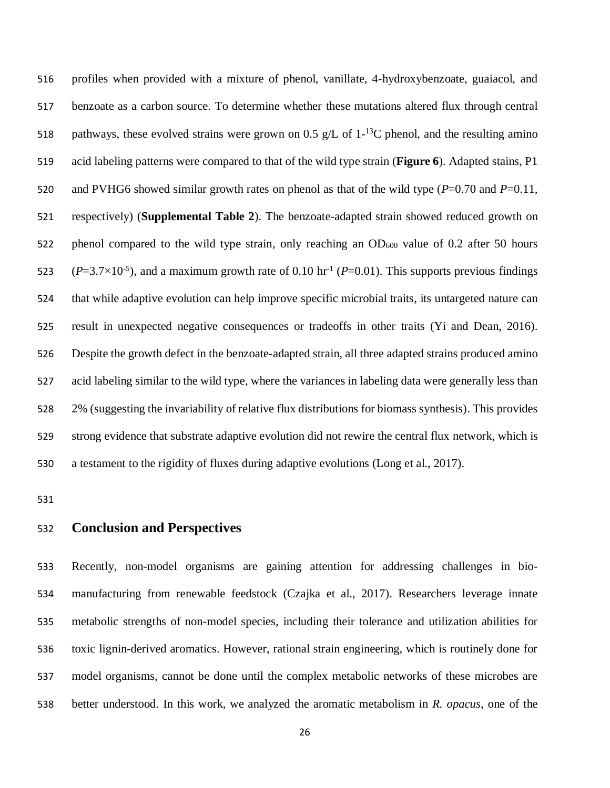profiles when provided with a mixture of phenol, vanillate, 4-hydroxybenzoate, guaiacol, and benzoate as a carbon source. To determine whether these mutations altered flux through central 518 pathways, these evolved strains were grown on 0.5 g/L of  $1<sup>-13</sup>C$  phenol, and the resulting amino acid labeling patterns were compared to that of the wild type strain (**Figure 6**). Adapted stains, P1 and PVHG6 showed similar growth rates on phenol as that of the wild type (*P*=0.70 and *P*=0.11, respectively) (**Supplemental Table 2**). The benzoate-adapted strain showed reduced growth on 522 phenol compared to the wild type strain, only reaching an OD<sub>600</sub> value of 0.2 after 50 hours 523 ( $P=3.7\times10^{-5}$ ), and a maximum growth rate of 0.10 hr<sup>-1</sup> ( $P=0.01$ ). This supports previous findings that while adaptive evolution can help improve specific microbial traits, its untargeted nature can result in unexpected negative consequences or tradeoffs in other traits (Yi and Dean, 2016). Despite the growth defect in the benzoate-adapted strain, all three adapted strains produced amino acid labeling similar to the wild type, where the variances in labeling data were generally less than 2% (suggesting the invariability of relative flux distributions for biomass synthesis). This provides strong evidence that substrate adaptive evolution did not rewire the central flux network, which is a testament to the rigidity of fluxes during adaptive evolutions (Long et al., 2017).

# **Conclusion and Perspectives**

 Recently, non-model organisms are gaining attention for addressing challenges in bio- manufacturing from renewable feedstock (Czajka et al., 2017). Researchers leverage innate metabolic strengths of non-model species, including their tolerance and utilization abilities for toxic lignin-derived aromatics. However, rational strain engineering, which is routinely done for model organisms, cannot be done until the complex metabolic networks of these microbes are better understood. In this work, we analyzed the aromatic metabolism in *R. opacus*, one of the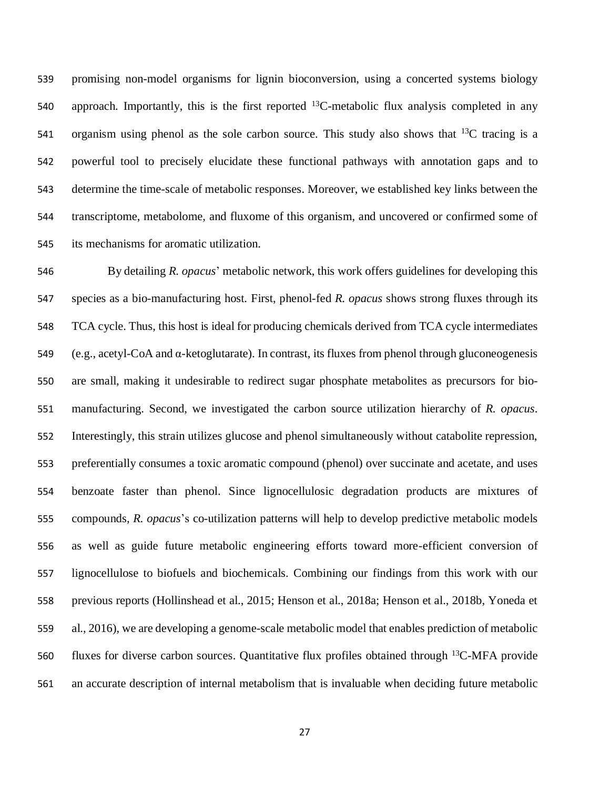promising non-model organisms for lignin bioconversion, using a concerted systems biology 540 approach. Importantly, this is the first reported  $^{13}$ C-metabolic flux analysis completed in any 541 organism using phenol as the sole carbon source. This study also shows that  $^{13}C$  tracing is a powerful tool to precisely elucidate these functional pathways with annotation gaps and to determine the time-scale of metabolic responses. Moreover, we established key links between the transcriptome, metabolome, and fluxome of this organism, and uncovered or confirmed some of its mechanisms for aromatic utilization.

 By detailing *R. opacus*' metabolic network, this work offers guidelines for developing this species as a bio-manufacturing host. First, phenol-fed *R. opacus* shows strong fluxes through its TCA cycle. Thus, this host is ideal for producing chemicals derived from TCA cycle intermediates (e.g., acetyl-CoA and α-ketoglutarate). In contrast, its fluxes from phenol through gluconeogenesis are small, making it undesirable to redirect sugar phosphate metabolites as precursors for bio- manufacturing. Second, we investigated the carbon source utilization hierarchy of *R. opacus*. Interestingly, this strain utilizes glucose and phenol simultaneously without catabolite repression, preferentially consumes a toxic aromatic compound (phenol) over succinate and acetate, and uses benzoate faster than phenol. Since lignocellulosic degradation products are mixtures of compounds*, R. opacus*'s co-utilization patterns will help to develop predictive metabolic models as well as guide future metabolic engineering efforts toward more-efficient conversion of lignocellulose to biofuels and biochemicals. Combining our findings from this work with our previous reports (Hollinshead et al., 2015; Henson et al., 2018a; Henson et al., 2018b, Yoneda et al., 2016), we are developing a genome-scale metabolic model that enables prediction of metabolic 560 fluxes for diverse carbon sources. Quantitative flux profiles obtained through  $^{13}$ C-MFA provide an accurate description of internal metabolism that is invaluable when deciding future metabolic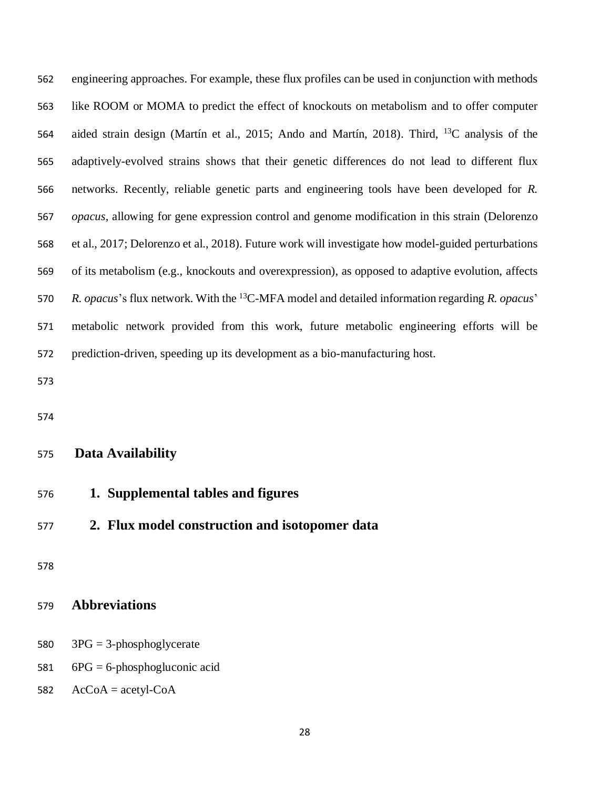engineering approaches. For example, these flux profiles can be used in conjunction with methods like ROOM or MOMA to predict the effect of knockouts on metabolism and to offer computer 564 aided strain design (Martín et al., 2015; Ando and Martín, 2018). Third, <sup>13</sup>C analysis of the adaptively-evolved strains shows that their genetic differences do not lead to different flux networks. Recently, reliable genetic parts and engineering tools have been developed for *R. opacus*, allowing for gene expression control and genome modification in this strain (Delorenzo et al., 2017; Delorenzo et al., 2018). Future work will investigate how model-guided perturbations of its metabolism (e.g., knockouts and overexpression), as opposed to adaptive evolution, affects *R. opacus*'s flux network. With the <sup>13</sup>C-MFA model and detailed information regarding *R. opacus*' metabolic network provided from this work, future metabolic engineering efforts will be prediction-driven, speeding up its development as a bio-manufacturing host.

#### **Data Availability**

- **1. Supplemental tables and figures**
- **2. Flux model construction and isotopomer data**

## **Abbreviations**

- 3PG = 3-phosphoglycerate
- 6PG = 6-phosphogluconic acid
- 582  $AcCoA = acetyl-coA$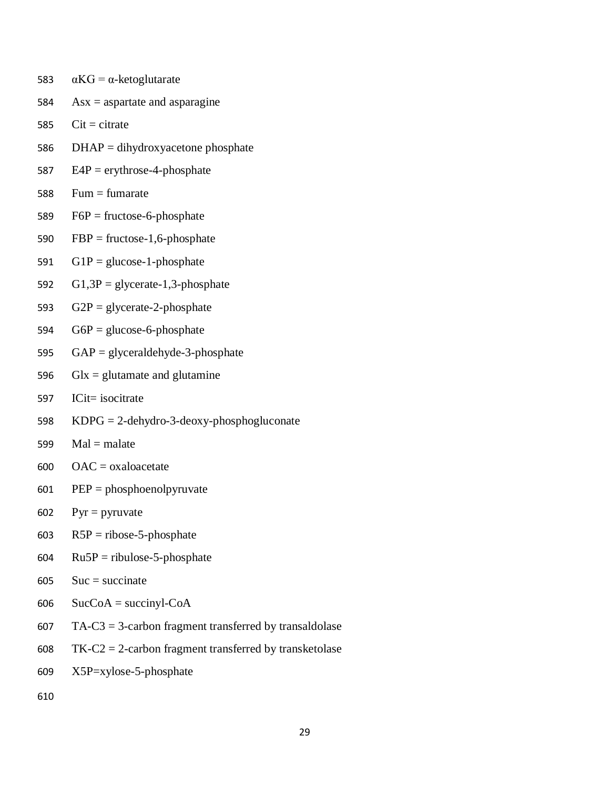- 583  $\alpha$ KG =  $\alpha$ -ketoglutarate
- $584$  Asx = aspartate and asparagine
- $585$  Cit = citrate
- 586 DHAP = dihydroxyacetone phosphate
- 587  $E4P =$  erythrose-4-phosphate
- 588 Fum  $=$  fumarate
- 589  $F6P =$  fructose-6-phosphate
- 590  $FBP = \text{fructose-1,6-phosphate}$
- 591 G1P = glucose-1-phosphate
- 592  $G1,3P =$  glycerate-1,3-phosphate
- 593  $G2P =$  glycerate-2-phosphate
- 594  $G6P =$  glucose-6-phosphate
- 595 GAP = glyceraldehyde-3-phosphate
- 596 Glx = glutamate and glutamine
- 597 ICit= isocitrate
- 598 KDPG = 2-dehydro-3-deoxy-phosphogluconate
- $599$  Mal = malate
- $600$  OAC = oxaloacetate
- 601 PEP = phosphoenolpyruvate
- 602 Pyr = pyruvate
- 603  $R5P = ribose-5-phosphate$
- $604$  Ru5P = ribulose-5-phosphate
- $605$  Suc = succinate
- $606$  SucCoA = succinyl-CoA
- 607 TA-C3 = 3-carbon fragment transferred by transaldolase
- 608 TK-C2 = 2-carbon fragment transferred by transketolase
- 609 X5P=xylose-5-phosphate
- 610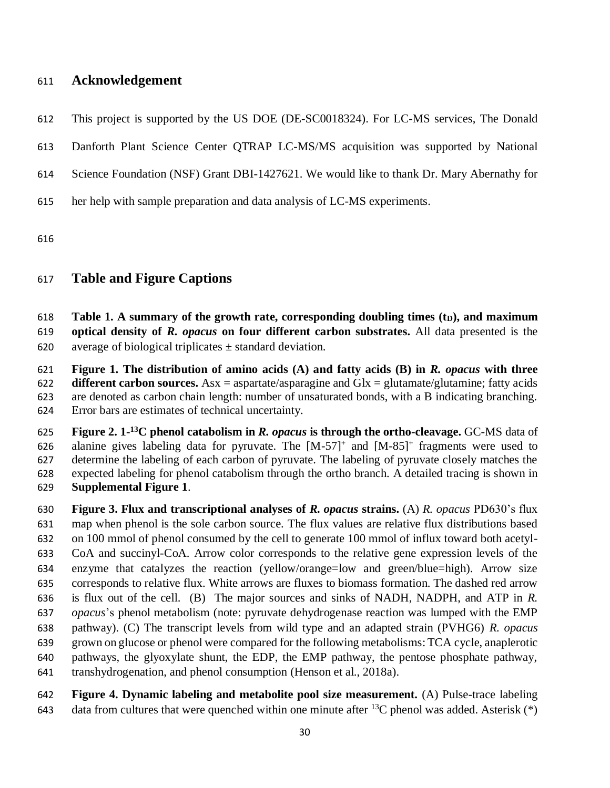# **Acknowledgement**

- This project is supported by the US DOE (DE-SC0018324). For LC-MS services, The Donald
- Danforth Plant Science Center QTRAP LC-MS/MS acquisition was supported by National
- Science Foundation (NSF) Grant DBI-1427621. We would like to thank Dr. Mary Abernathy for
- her help with sample preparation and data analysis of LC-MS experiments.

# **Table and Figure Captions**

 **Table 1. A summary of the growth rate, corresponding doubling times (tD), and maximum optical density of** *R. opacus* **on four different carbon substrates.** All data presented is the 620 average of biological triplicates  $\pm$  standard deviation.

 **Figure 1. The distribution of amino acids (A) and fatty acids (B) in** *R. opacus* **with three different carbon sources.** Asx = aspartate/asparagine and Glx = glutamate/glutamine; fatty acids are denoted as carbon chain length: number of unsaturated bonds, with a B indicating branching. Error bars are estimates of technical uncertainty.

**Figure 2. 1-**<sup>13</sup>C phenol catabolism in *R. opacus* is through the ortho-cleavage. GC-MS data of 626 alanine gives labeling data for pyruvate. The  $[M-57]^+$  and  $[M-85]^+$  fragments were used to determine the labeling of each carbon of pyruvate. The labeling of pyruvate closely matches the expected labeling for phenol catabolism through the ortho branch. A detailed tracing is shown in **Supplemental Figure 1**.

 **Figure 3. Flux and transcriptional analyses of** *R. opacus* **strains.** (A) *R. opacus* PD630's flux map when phenol is the sole carbon source. The flux values are relative flux distributions based on 100 mmol of phenol consumed by the cell to generate 100 mmol of influx toward both acetyl- CoA and succinyl-CoA. Arrow color corresponds to the relative gene expression levels of the enzyme that catalyzes the reaction (yellow/orange=low and green/blue=high). Arrow size corresponds to relative flux. White arrows are fluxes to biomass formation. The dashed red arrow is flux out of the cell. (B) The major sources and sinks of NADH, NADPH, and ATP in *R. opacus*'s phenol metabolism (note: pyruvate dehydrogenase reaction was lumped with the EMP pathway). (C) The transcript levels from wild type and an adapted strain (PVHG6) *R. opacus* grown on glucose or phenol were compared for the following metabolisms: TCA cycle, anaplerotic pathways, the glyoxylate shunt, the EDP, the EMP pathway, the pentose phosphate pathway, transhydrogenation, and phenol consumption (Henson et al., 2018a).

 **Figure 4. Dynamic labeling and metabolite pool size measurement.** (A) Pulse-trace labeling 643 data from cultures that were quenched within one minute after <sup>13</sup>C phenol was added. Asterisk (\*)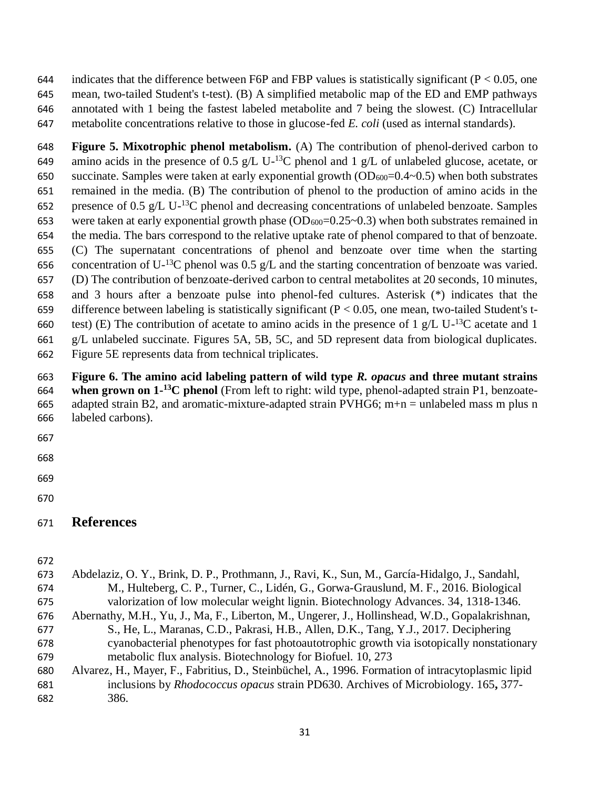644 indicates that the difference between F6P and FBP values is statistically significant ( $P < 0.05$ , one mean, two-tailed Student's t-test). (B) A simplified metabolic map of the ED and EMP pathways annotated with 1 being the fastest labeled metabolite and 7 being the slowest. (C) Intracellular metabolite concentrations relative to those in glucose-fed *E. coli* (used as internal standards).

 **Figure 5. Mixotrophic phenol metabolism.** (A) The contribution of phenol-derived carbon to 649 amino acids in the presence of 0.5 g/L U-<sup>13</sup>C phenol and 1 g/L of unlabeled glucose, acetate, or 650 succinate. Samples were taken at early exponential growth  $OD_{600}=0.4-0.5$ ) when both substrates remained in the media. (B) The contribution of phenol to the production of amino acids in the 652 presence of 0.5 g/L U-<sup>13</sup>C phenol and decreasing concentrations of unlabeled benzoate. Samples 653 were taken at early exponential growth phase  $(OD_{600}=0.25-0.3)$  when both substrates remained in the media. The bars correspond to the relative uptake rate of phenol compared to that of benzoate. (C) The supernatant concentrations of phenol and benzoate over time when the starting 656 concentration of U<sup>-13</sup>C phenol was 0.5 g/L and the starting concentration of benzoate was varied. (D) The contribution of benzoate-derived carbon to central metabolites at 20 seconds, 10 minutes, and 3 hours after a benzoate pulse into phenol-fed cultures. Asterisk (\*) indicates that the 659 difference between labeling is statistically significant ( $P < 0.05$ , one mean, two-tailed Student's t-660 test) (E) The contribution of acetate to amino acids in the presence of 1 g/L U- $^{13}$ C acetate and 1 g/L unlabeled succinate. Figures 5A, 5B, 5C, and 5D represent data from biological duplicates. Figure 5E represents data from technical triplicates.

# **Figure 6. The amino acid labeling pattern of wild type** *R. opacus* **and three mutant strains**  664 when grown on 1<sup>-13</sup>C phenol (From left to right: wild type, phenol-adapted strain P1, benzoate-665 adapted strain B2, and aromatic-mixture-adapted strain PVHG6; m+n = unlabeled mass m plus n labeled carbons).

- 
- 
- 

**References**

| 673<br>674 | Abdelaziz, O. Y., Brink, D. P., Prothmann, J., Ravi, K., Sun, M., García-Hidalgo, J., Sandahl,<br>M., Hulteberg, C. P., Turner, C., Lidén, G., Gorwa-Grauslund, M. F., 2016. Biological |
|------------|-----------------------------------------------------------------------------------------------------------------------------------------------------------------------------------------|
| 675        | valorization of low molecular weight lignin. Biotechnology Advances. 34, 1318-1346.                                                                                                     |
| 676        | Abernathy, M.H., Yu, J., Ma, F., Liberton, M., Ungerer, J., Hollinshead, W.D., Gopalakrishnan,                                                                                          |
| 677        | S., He, L., Maranas, C.D., Pakrasi, H.B., Allen, D.K., Tang, Y.J., 2017. Deciphering                                                                                                    |
| 678        | cyanobacterial phenotypes for fast photoautotrophic growth via isotopically nonstationary                                                                                               |
| 679        | metabolic flux analysis. Biotechnology for Biofuel. 10, 273                                                                                                                             |
| 680        | Alvarez, H., Mayer, F., Fabritius, D., Steinbüchel, A., 1996. Formation of intracytoplasmic lipid                                                                                       |
| 681        | inclusions by <i>Rhodococcus opacus</i> strain PD630. Archives of Microbiology. 165, 377-                                                                                               |
| 682        | 386.                                                                                                                                                                                    |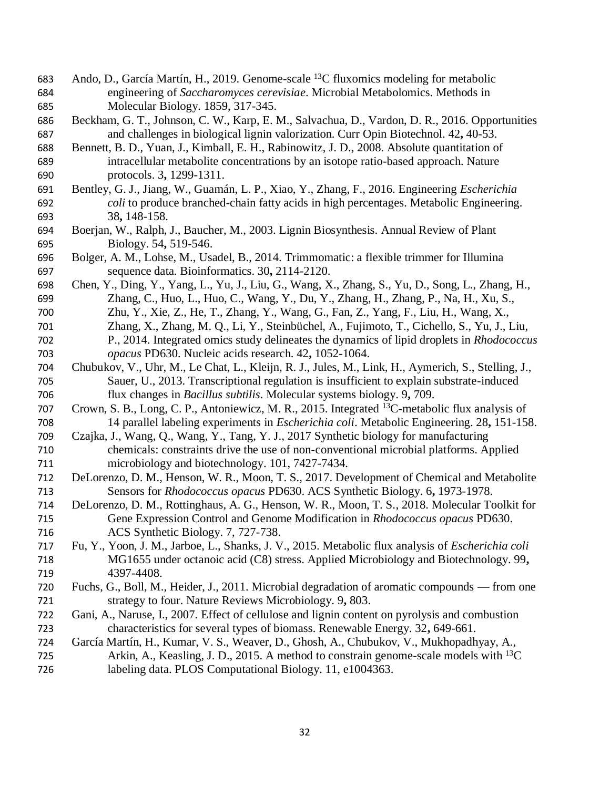- 683 Ando, D., García Martín, H., 2019. Genome-scale  $^{13}$ C fluxomics modeling for metabolic engineering of *Saccharomyces cerevisiae*. Microbial Metabolomics. Methods in Molecular Biology. 1859, 317-345.
- Beckham, G. T., Johnson, C. W., Karp, E. M., Salvachua, D., Vardon, D. R., 2016. Opportunities and challenges in biological lignin valorization. Curr Opin Biotechnol. 42**,** 40-53.
- Bennett, B. D., Yuan, J., Kimball, E. H., Rabinowitz, J. D., 2008. Absolute quantitation of intracellular metabolite concentrations by an isotope ratio-based approach. Nature protocols. 3**,** 1299-1311.
- Bentley, G. J., Jiang, W., Guamán, L. P., Xiao, Y., Zhang, F., 2016. Engineering *Escherichia coli* to produce branched-chain fatty acids in high percentages. Metabolic Engineering. 38**,** 148-158.
- Boerjan, W., Ralph, J., Baucher, M., 2003. Lignin Biosynthesis. Annual Review of Plant Biology. 54**,** 519-546.
- Bolger, A. M., Lohse, M., Usadel, B., 2014. Trimmomatic: a flexible trimmer for Illumina sequence data. Bioinformatics. 30**,** 2114-2120.
- Chen, Y., Ding, Y., Yang, L., Yu, J., Liu, G., Wang, X., Zhang, S., Yu, D., Song, L., Zhang, H., Zhang, C., Huo, L., Huo, C., Wang, Y., Du, Y., Zhang, H., Zhang, P., Na, H., Xu, S., Zhu, Y., Xie, Z., He, T., Zhang, Y., Wang, G., Fan, Z., Yang, F., Liu, H., Wang, X., Zhang, X., Zhang, M. Q., Li, Y., Steinbüchel, A., Fujimoto, T., Cichello, S., Yu, J., Liu, P., 2014. Integrated omics study delineates the dynamics of lipid droplets in *Rhodococcus opacus* PD630. Nucleic acids research. 42**,** 1052-1064.
- Chubukov, V., Uhr, M., Le Chat, L., Kleijn, R. J., Jules, M., Link, H., Aymerich, S., Stelling, J., Sauer, U., 2013. Transcriptional regulation is insufficient to explain substrate-induced flux changes in *Bacillus subtilis*. Molecular systems biology. 9**,** 709.
- 707 Crown, S. B., Long, C. P., Antoniewicz, M. R., 2015. Integrated <sup>13</sup>C-metabolic flux analysis of 14 parallel labeling experiments in *Escherichia coli*. Metabolic Engineering. 28**,** 151-158.
- Czajka, J., Wang, Q., Wang, Y., Tang, Y. J., 2017 Synthetic biology for manufacturing chemicals: constraints drive the use of non-conventional microbial platforms. Applied microbiology and biotechnology. 101, 7427-7434.
- DeLorenzo, D. M., Henson, W. R., Moon, T. S., 2017. Development of Chemical and Metabolite Sensors for *Rhodococcus opacus* PD630. ACS Synthetic Biology. 6**,** 1973-1978.
- DeLorenzo, D. M., Rottinghaus, A. G., Henson, W. R., Moon, T. S., 2018. Molecular Toolkit for Gene Expression Control and Genome Modification in *Rhodococcus opacus* PD630. ACS Synthetic Biology. 7, 727-738.
- Fu, Y., Yoon, J. M., Jarboe, L., Shanks, J. V., 2015. Metabolic flux analysis of *Escherichia coli* MG1655 under octanoic acid (C8) stress. Applied Microbiology and Biotechnology. 99**,** 4397-4408.
- Fuchs, G., Boll, M., Heider, J., 2011. Microbial degradation of aromatic compounds from one strategy to four. Nature Reviews Microbiology. 9**,** 803.
- Gani, A., Naruse, I., 2007. Effect of cellulose and lignin content on pyrolysis and combustion characteristics for several types of biomass. Renewable Energy. 32**,** 649-661.
- García Martín, H., Kumar, V. S., Weaver, D., Ghosh, A., Chubukov, V., Mukhopadhyay, A., 725 Arkin, A., Keasling, J. D., 2015. A method to constrain genome-scale models with  ${}^{13}C$ labeling data. PLOS Computational Biology. 11, e1004363.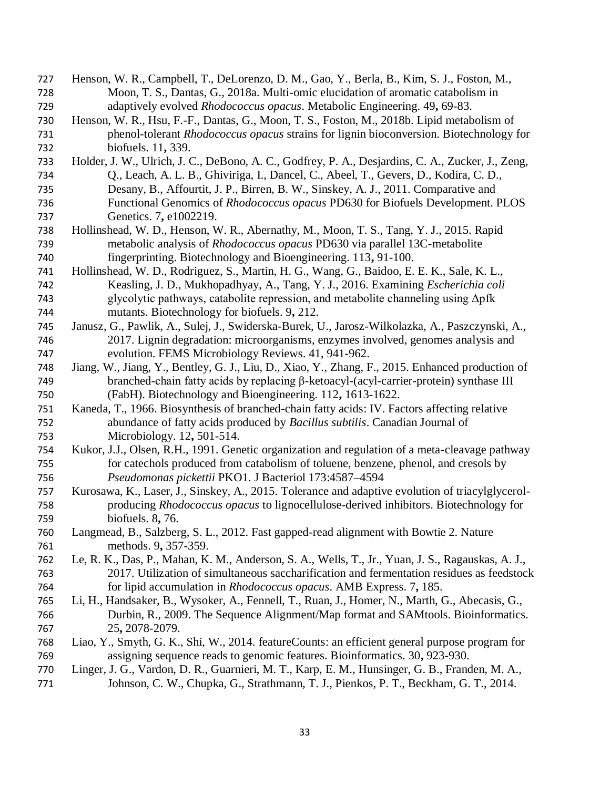Henson, W. R., Campbell, T., DeLorenzo, D. M., Gao, Y., Berla, B., Kim, S. J., Foston, M., Moon, T. S., Dantas, G., 2018a. Multi-omic elucidation of aromatic catabolism in adaptively evolved *Rhodococcus opacus*. Metabolic Engineering. 49**,** 69-83. Henson, W. R., Hsu, F.-F., Dantas, G., Moon, T. S., Foston, M., 2018b. Lipid metabolism of phenol-tolerant *Rhodococcus opacus* strains for lignin bioconversion. Biotechnology for biofuels. 11**,** 339. Holder, J. W., Ulrich, J. C., DeBono, A. C., Godfrey, P. A., Desjardins, C. A., Zucker, J., Zeng, Q., Leach, A. L. B., Ghiviriga, I., Dancel, C., Abeel, T., Gevers, D., Kodira, C. D., Desany, B., Affourtit, J. P., Birren, B. W., Sinskey, A. J., 2011. Comparative and Functional Genomics of *Rhodococcus opacus* PD630 for Biofuels Development. PLOS Genetics. 7**,** e1002219. Hollinshead, W. D., Henson, W. R., Abernathy, M., Moon, T. S., Tang, Y. J., 2015. Rapid metabolic analysis of *Rhodococcus opacus* PD630 via parallel 13C-metabolite fingerprinting. Biotechnology and Bioengineering. 113**,** 91-100. Hollinshead, W. D., Rodriguez, S., Martin, H. G., Wang, G., Baidoo, E. E. K., Sale, K. L., Keasling, J. D., Mukhopadhyay, A., Tang, Y. J., 2016. Examining *Escherichia coli*  glycolytic pathways, catabolite repression, and metabolite channeling using Δpfk mutants. Biotechnology for biofuels. 9**,** 212. Janusz, G., Pawlik, A., Sulej, J., Swiderska-Burek, U., Jarosz-Wilkolazka, A., Paszczynski, A., 2017. Lignin degradation: microorganisms, enzymes involved, genomes analysis and evolution. FEMS Microbiology Reviews. 41, 941-962. Jiang, W., Jiang, Y., Bentley, G. J., Liu, D., Xiao, Y., Zhang, F., 2015. Enhanced production of branched-chain fatty acids by replacing β-ketoacyl-(acyl-carrier-protein) synthase III (FabH). Biotechnology and Bioengineering. 112**,** 1613-1622. Kaneda, T., 1966. Biosynthesis of branched-chain fatty acids: IV. Factors affecting relative abundance of fatty acids produced by *Bacillus subtilis*. Canadian Journal of Microbiology. 12**,** 501-514. Kukor, J.J., Olsen, R.H., 1991. Genetic organization and regulation of a meta-cleavage pathway for catechols produced from catabolism of toluene, benzene, phenol, and cresols by *Pseudomonas pickettii* PKO1. J Bacteriol 173:4587–4594 Kurosawa, K., Laser, J., Sinskey, A., 2015. Tolerance and adaptive evolution of triacylglycerol- producing *Rhodococcus opacus* to lignocellulose-derived inhibitors. Biotechnology for biofuels. 8**,** 76. Langmead, B., Salzberg, S. L., 2012. Fast gapped-read alignment with Bowtie 2. Nature methods. 9**,** 357-359. Le, R. K., Das, P., Mahan, K. M., Anderson, S. A., Wells, T., Jr., Yuan, J. S., Ragauskas, A. J., 2017. Utilization of simultaneous saccharification and fermentation residues as feedstock for lipid accumulation in *Rhodococcus opacus*. AMB Express. 7**,** 185. Li, H., Handsaker, B., Wysoker, A., Fennell, T., Ruan, J., Homer, N., Marth, G., Abecasis, G., Durbin, R., 2009. The Sequence Alignment/Map format and SAMtools. Bioinformatics. 25**,** 2078-2079. Liao, Y., Smyth, G. K., Shi, W., 2014. featureCounts: an efficient general purpose program for assigning sequence reads to genomic features. Bioinformatics. 30**,** 923-930. Linger, J. G., Vardon, D. R., Guarnieri, M. T., Karp, E. M., Hunsinger, G. B., Franden, M. A., 771 Johnson, C. W., Chupka, G., Strathmann, T. J., Pienkos, P. T., Beckham, G. T., 2014.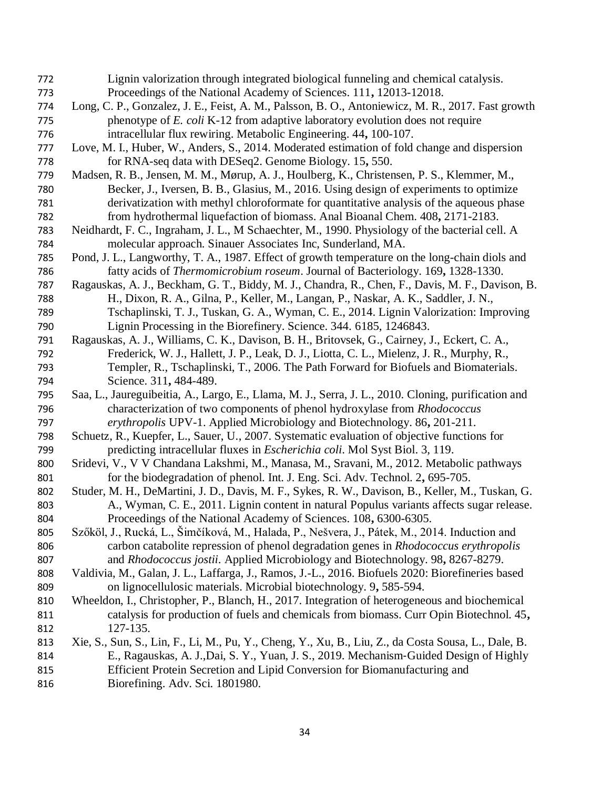Lignin valorization through integrated biological funneling and chemical catalysis. Proceedings of the National Academy of Sciences. 111**,** 12013-12018. Long, C. P., Gonzalez, J. E., Feist, A. M., Palsson, B. O., Antoniewicz, M. R., 2017. Fast growth phenotype of *E. coli* K-12 from adaptive laboratory evolution does not require intracellular flux rewiring. Metabolic Engineering. 44**,** 100-107. Love, M. I., Huber, W., Anders, S., 2014. Moderated estimation of fold change and dispersion for RNA-seq data with DESeq2. Genome Biology. 15**,** 550. Madsen, R. B., Jensen, M. M., Mørup, A. J., Houlberg, K., Christensen, P. S., Klemmer, M., Becker, J., Iversen, B. B., Glasius, M., 2016. Using design of experiments to optimize derivatization with methyl chloroformate for quantitative analysis of the aqueous phase from hydrothermal liquefaction of biomass. Anal Bioanal Chem. 408**,** 2171-2183. Neidhardt, F. C., Ingraham, J. L., M Schaechter, M., 1990. Physiology of the bacterial cell. A molecular approach. Sinauer Associates Inc, Sunderland, MA. Pond, J. L., Langworthy, T. A., 1987. Effect of growth temperature on the long-chain diols and fatty acids of *Thermomicrobium roseum*. Journal of Bacteriology. 169**,** 1328-1330. Ragauskas, A. J., Beckham, G. T., Biddy, M. J., Chandra, R., Chen, F., Davis, M. F., Davison, B. H., Dixon, R. A., Gilna, P., Keller, M., Langan, P., Naskar, A. K., Saddler, J. N., Tschaplinski, T. J., Tuskan, G. A., Wyman, C. E., 2014. Lignin Valorization: Improving Lignin Processing in the Biorefinery. Science. 344. 6185, 1246843. Ragauskas, A. J., Williams, C. K., Davison, B. H., Britovsek, G., Cairney, J., Eckert, C. A., Frederick, W. J., Hallett, J. P., Leak, D. J., Liotta, C. L., Mielenz, J. R., Murphy, R., Templer, R., Tschaplinski, T., 2006. The Path Forward for Biofuels and Biomaterials. Science. 311**,** 484-489. Saa, L., Jaureguibeitia, A., Largo, E., Llama, M. J., Serra, J. L., 2010. Cloning, purification and characterization of two components of phenol hydroxylase from *Rhodococcus erythropolis* UPV-1. Applied Microbiology and Biotechnology. 86**,** 201-211. Schuetz, R., Kuepfer, L., Sauer, U., 2007. Systematic evaluation of objective functions for predicting intracellular fluxes in *Escherichia coli*. Mol Syst Biol. 3, 119. Sridevi, V., V V Chandana Lakshmi, M., Manasa, M., Sravani, M., 2012. Metabolic pathways for the biodegradation of phenol. Int. J. Eng. Sci. Adv. Technol. 2**,** 695-705. Studer, M. H., DeMartini, J. D., Davis, M. F., Sykes, R. W., Davison, B., Keller, M., Tuskan, G. A., Wyman, C. E., 2011. Lignin content in natural Populus variants affects sugar release. Proceedings of the National Academy of Sciences. 108**,** 6300-6305. Szőköl, J., Rucká, L., Šimčíková, M., Halada, P., Nešvera, J., Pátek, M., 2014. Induction and carbon catabolite repression of phenol degradation genes in *Rhodococcus erythropolis* and *Rhodococcus jostii*. Applied Microbiology and Biotechnology. 98**,** 8267-8279. Valdivia, M., Galan, J. L., Laffarga, J., Ramos, J.-L., 2016. Biofuels 2020: Biorefineries based on lignocellulosic materials. Microbial biotechnology. 9**,** 585-594. Wheeldon, I., Christopher, P., Blanch, H., 2017. Integration of heterogeneous and biochemical catalysis for production of fuels and chemicals from biomass. Curr Opin Biotechnol. 45**,** 127-135. Xie, S., Sun, S., Lin, F., Li, M., Pu, Y., Cheng, Y., Xu, B., Liu, Z., da Costa Sousa, L., Dale, B. E., Ragauskas, A. J.,Dai, S. Y., Yuan, J. S., 2019. Mechanism‐Guided Design of Highly Efficient Protein Secretion and Lipid Conversion for Biomanufacturing and Biorefining. Adv. Sci. 1801980.